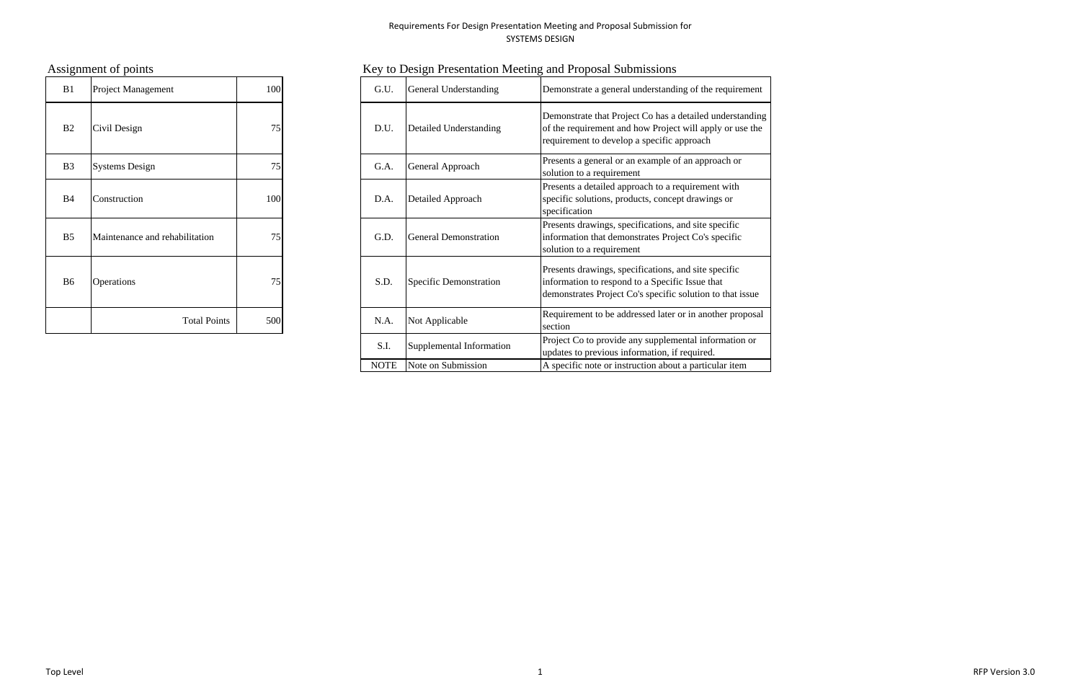| B1             | Project Management             | 100 | G.U. | General Understanding         |
|----------------|--------------------------------|-----|------|-------------------------------|
| B <sub>2</sub> | Civil Design                   | 75  | D.U. | Detailed Understanding        |
| B <sub>3</sub> | <b>Systems Design</b>          | 75  | G.A. | General Approach              |
| <b>B</b> 4     | Construction                   | 100 | D.A. | <b>Detailed Approach</b>      |
| B <sub>5</sub> | Maintenance and rehabilitation | 75  | G.D. | <b>General Demonstration</b>  |
| B <sub>6</sub> | Operations                     | 75  | S.D. | <b>Specific Demonstration</b> |
|                | <b>Total Points</b>            | 500 | N.A. | Not Applicable                |

# Assignment of points **Key to Design Presentation Meeting and Proposal Submissions**

| B1                             | 100<br>Project Management      |     |     | G.U.        | General Understanding        | Demonstrate a general understanding of the requirement                                                                                                               |
|--------------------------------|--------------------------------|-----|-----|-------------|------------------------------|----------------------------------------------------------------------------------------------------------------------------------------------------------------------|
| B <sub>2</sub><br>Civil Design |                                | 75  |     | D.U.        | Detailed Understanding       | Demonstrate that Project Co has a detailed understanding<br>of the requirement and how Project will apply or use the<br>requirement to develop a specific approach   |
| <b>B3</b>                      | <b>Systems Design</b>          | 75  |     | G.A.        | General Approach             | Presents a general or an example of an approach or<br>solution to a requirement                                                                                      |
| B4                             | Construction                   |     | 100 | D.A.        | Detailed Approach            | Presents a detailed approach to a requirement with<br>specific solutions, products, concept drawings or<br>specification                                             |
| <b>B5</b>                      | Maintenance and rehabilitation |     |     | G.D.        | <b>General Demonstration</b> | Presents drawings, specifications, and site specific<br>information that demonstrates Project Co's specific<br>solution to a requirement                             |
| B6                             | <b>Operations</b>              | 75  |     | S.D.        | Specific Demonstration       | Presents drawings, specifications, and site specific<br>information to respond to a Specific Issue that<br>demonstrates Project Co's specific solution to that issue |
|                                | <b>Total Points</b>            | 500 |     | N.A.        | Not Applicable               | Requirement to be addressed later or in another proposal<br>section                                                                                                  |
|                                |                                |     |     | S.I.        | Supplemental Information     | Project Co to provide any supplemental information or<br>updates to previous information, if required.                                                               |
|                                |                                |     |     | <b>NOTE</b> | Note on Submission           | A specific note or instruction about a particular item                                                                                                               |

Top Level 1 RFP Version 3.0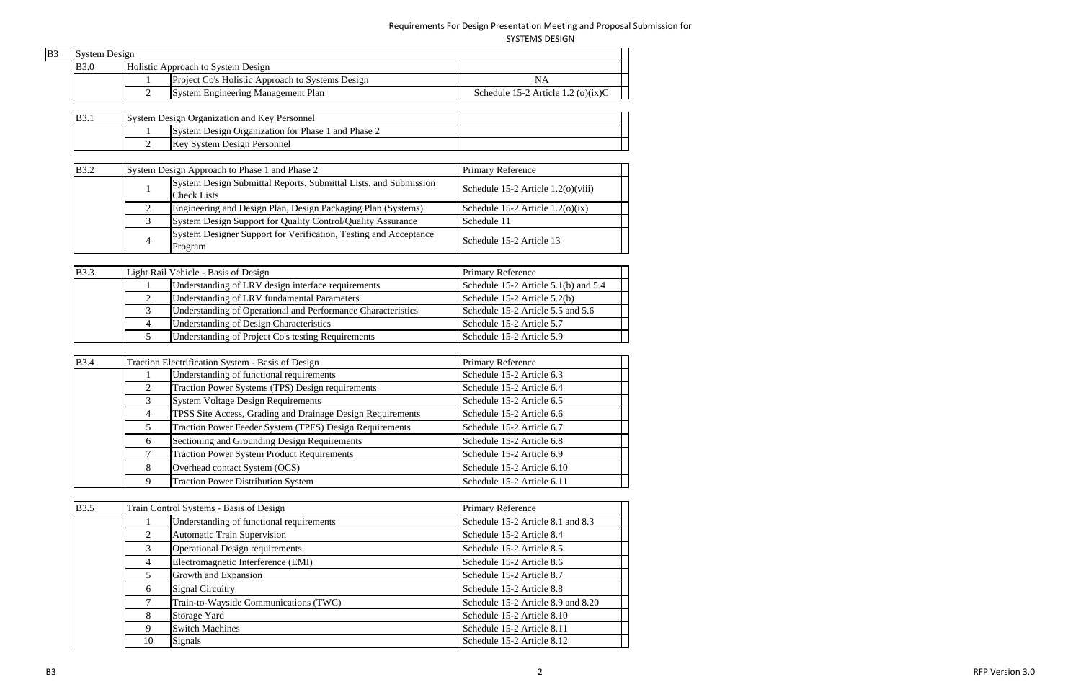SYSTEMS DESIGN

| B <sub>3</sub> | <b>System Design</b> |                                                  |                                       |  |
|----------------|----------------------|--------------------------------------------------|---------------------------------------|--|
|                | <b>B</b> 3.0         | Holistic Approach to System Design               |                                       |  |
|                |                      | Project Co's Holistic Approach to Systems Design | ΝA                                    |  |
|                |                      | System Engineering Management Plan               | Schedule 15-2 Article 1.2 (o) $(ix)C$ |  |

| <b>B</b> 3. | <b>System Design Organization and Key Personnel</b> |
|-------------|-----------------------------------------------------|
|             | System Design Organization for Phase 1 and Phase 2  |
|             | Key System Design Personnel                         |

| <b>B</b> 3.2 |   | System Design Approach to Phase 1 and Phase 2                                          | <b>Primary Reference</b>               |  |
|--------------|---|----------------------------------------------------------------------------------------|----------------------------------------|--|
|              |   | System Design Submittal Reports, Submittal Lists, and Submission<br><b>Check Lists</b> | Schedule $15-2$ Article $1.2(0)(viii)$ |  |
|              |   | Engineering and Design Plan, Design Packaging Plan (Systems)                           | Schedule 15-2 Article $1.2(0)(ix)$     |  |
|              |   | System Design Support for Quality Control/Quality Assurance                            | Schedule 11                            |  |
|              | 4 | System Designer Support for Verification, Testing and Acceptance<br>Program            | Schedule 15-2 Article 13               |  |

| <b>B</b> 3.3 | Light Rail Vehicle - Basis of Design                         | <b>Primary Reference</b>             |
|--------------|--------------------------------------------------------------|--------------------------------------|
|              | Understanding of LRV design interface requirements           | Schedule 15-2 Article 5.1(b) and 5.4 |
|              | Understanding of LRV fundamental Parameters                  | Schedule 15-2 Article 5.2(b)         |
|              | Understanding of Operational and Performance Characteristics | Schedule 15-2 Article 5.5 and 5.6    |
|              | <b>Understanding of Design Characteristics</b>               | Schedule 15-2 Article 5.7            |
|              | Understanding of Project Co's testing Requirements           | Schedule 15-2 Article 5.9            |

| <b>B</b> 3.4 |   | Traction Electrification System - Basis of Design          | <b>Primary Reference</b>   |
|--------------|---|------------------------------------------------------------|----------------------------|
|              |   | Understanding of functional requirements                   | Schedule 15-2 Article 6.3  |
|              | 2 | Traction Power Systems (TPS) Design requirements           | Schedule 15-2 Article 6.4  |
|              |   | <b>System Voltage Design Requirements</b>                  | Schedule 15-2 Article 6.5  |
|              |   | TPSS Site Access, Grading and Drainage Design Requirements | Schedule 15-2 Article 6.6  |
|              |   | Traction Power Feeder System (TPFS) Design Requirements    | Schedule 15-2 Article 6.7  |
|              | 6 | Sectioning and Grounding Design Requirements               | Schedule 15-2 Article 6.8  |
|              |   | <b>Traction Power System Product Requirements</b>          | Schedule 15-2 Article 6.9  |
|              | 8 | Overhead contact System (OCS)                              | Schedule 15-2 Article 6.10 |
|              |   | <b>Traction Power Distribution System</b>                  | Schedule 15-2 Article 6.11 |

| <b>B</b> 3.5 |        | Train Control Systems - Basis of Design  | <b>Primary Reference</b>           |
|--------------|--------|------------------------------------------|------------------------------------|
|              |        | Understanding of functional requirements | Schedule 15-2 Article 8.1 and 8.3  |
|              | 2      | <b>Automatic Train Supervision</b>       | Schedule 15-2 Article 8.4          |
|              | 3      | <b>Operational Design requirements</b>   | Schedule 15-2 Article 8.5          |
|              | 4      | Electromagnetic Interference (EMI)       | Schedule 15-2 Article 8.6          |
|              | 5      | Growth and Expansion                     | Schedule 15-2 Article 8.7          |
|              | 6      | <b>Signal Circuitry</b>                  | Schedule 15-2 Article 8.8          |
|              | $\tau$ | Train-to-Wayside Communications (TWC)    | Schedule 15-2 Article 8.9 and 8.20 |
|              | 8      | Storage Yard                             | Schedule 15-2 Article 8.10         |
|              | 9      | <b>Switch Machines</b>                   | Schedule 15-2 Article 8.11         |
|              | 10     | Signals                                  | Schedule 15-2 Article 8.12         |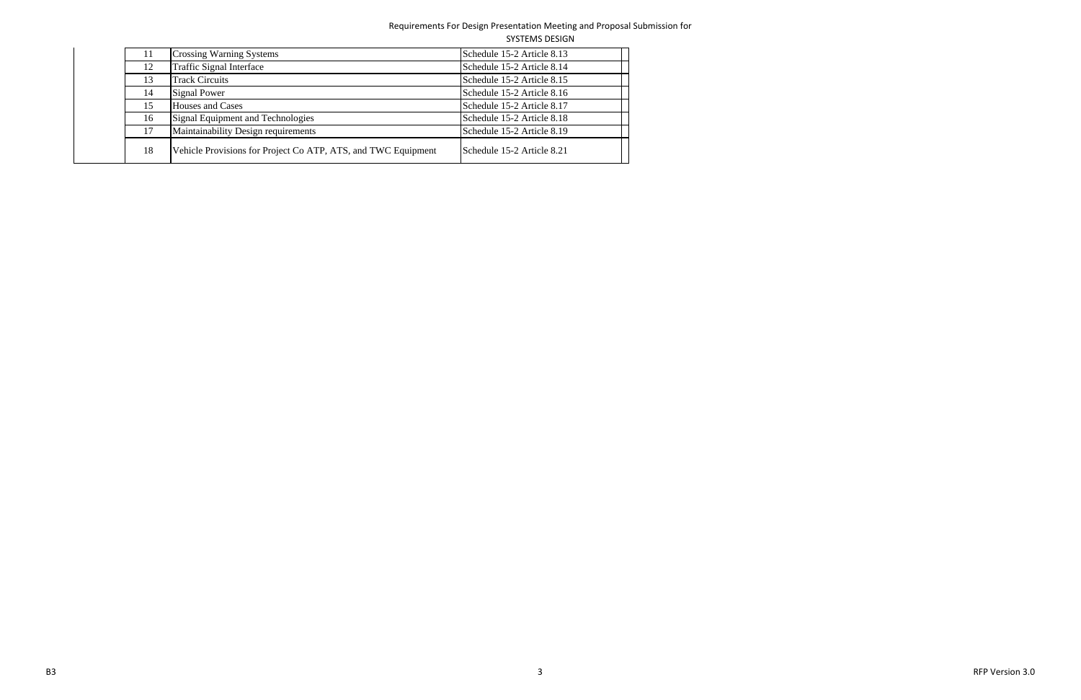|    |                                                               | <b>SYSTEMS DESIGN</b>      |
|----|---------------------------------------------------------------|----------------------------|
| 11 | <b>Crossing Warning Systems</b>                               | Schedule 15-2 Article 8.13 |
| 12 | <b>Traffic Signal Interface</b>                               | Schedule 15-2 Article 8.14 |
| 13 | <b>Track Circuits</b>                                         | Schedule 15-2 Article 8.15 |
| 14 | Signal Power                                                  | Schedule 15-2 Article 8.16 |
| 15 | <b>Houses and Cases</b>                                       | Schedule 15-2 Article 8.17 |
| 16 | Signal Equipment and Technologies                             | Schedule 15-2 Article 8.18 |
| 17 | Maintainability Design requirements                           | Schedule 15-2 Article 8.19 |
| 18 | Vehicle Provisions for Project Co ATP, ATS, and TWC Equipment | Schedule 15-2 Article 8.21 |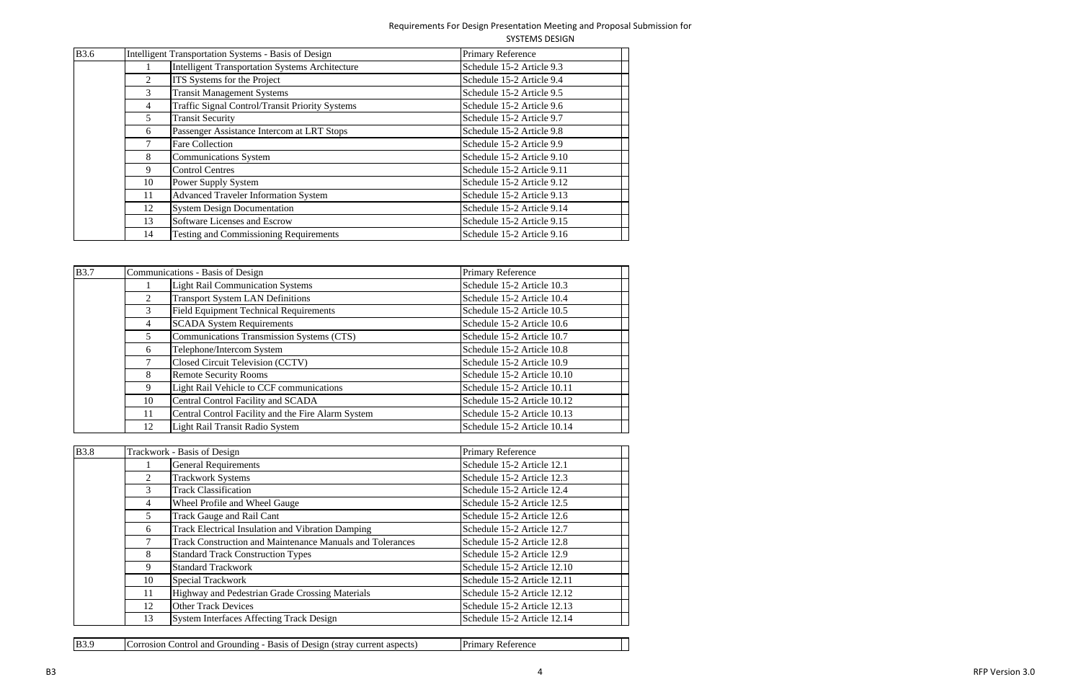| <b>B</b> 3.6 |    | Intelligent Transportation Systems - Basis of Design   | Primary Reference          |
|--------------|----|--------------------------------------------------------|----------------------------|
|              |    | <b>Intelligent Transportation Systems Architecture</b> | Schedule 15-2 Article 9.3  |
|              |    | <b>ITS</b> Systems for the Project                     | Schedule 15-2 Article 9.4  |
|              | 3  | <b>Transit Management Systems</b>                      | Schedule 15-2 Article 9.5  |
|              | 4  | <b>Traffic Signal Control/Transit Priority Systems</b> | Schedule 15-2 Article 9.6  |
|              | 5  | <b>Transit Security</b>                                | Schedule 15-2 Article 9.7  |
|              | 6  | Passenger Assistance Intercom at LRT Stops             | Schedule 15-2 Article 9.8  |
|              |    | <b>Fare Collection</b>                                 | Schedule 15-2 Article 9.9  |
|              | 8  | Communications System                                  | Schedule 15-2 Article 9.10 |
|              | 9  | <b>Control Centres</b>                                 | Schedule 15-2 Article 9.11 |
|              | 10 | Power Supply System                                    | Schedule 15-2 Article 9.12 |
|              | 11 | <b>Advanced Traveler Information System</b>            | Schedule 15-2 Article 9.13 |
|              | 12 | <b>System Design Documentation</b>                     | Schedule 15-2 Article 9.14 |
|              | 13 | Software Licenses and Escrow                           | Schedule 15-2 Article 9.15 |
|              | 14 | <b>Testing and Commissioning Requirements</b>          | Schedule 15-2 Article 9.16 |

| <b>B</b> 3.7 |                | Communications - Basis of Design                   | Primary Reference           |
|--------------|----------------|----------------------------------------------------|-----------------------------|
|              |                | <b>Light Rail Communication Systems</b>            | Schedule 15-2 Article 10.3  |
|              | 2              | <b>Transport System LAN Definitions</b>            | Schedule 15-2 Article 10.4  |
|              | 3              | <b>Field Equipment Technical Requirements</b>      | Schedule 15-2 Article 10.5  |
|              | $\overline{4}$ | <b>SCADA System Requirements</b>                   | Schedule 15-2 Article 10.6  |
|              | 5              | Communications Transmission Systems (CTS)          | Schedule 15-2 Article 10.7  |
|              | 6              | Telephone/Intercom System                          | Schedule 15-2 Article 10.8  |
|              |                | Closed Circuit Television (CCTV)                   | Schedule 15-2 Article 10.9  |
|              | 8              | <b>Remote Security Rooms</b>                       | Schedule 15-2 Article 10.10 |
|              | 9              | Light Rail Vehicle to CCF communications           | Schedule 15-2 Article 10.11 |
|              | 10             | Central Control Facility and SCADA                 | Schedule 15-2 Article 10.12 |
|              | 11             | Central Control Facility and the Fire Alarm System | Schedule 15-2 Article 10.13 |
|              | 12             | <b>Light Rail Transit Radio System</b>             | Schedule 15-2 Article 10.14 |

| <b>B</b> 3.8 |                | Trackwork - Basis of Design                                      | <b>Primary Reference</b>    |
|--------------|----------------|------------------------------------------------------------------|-----------------------------|
|              |                | <b>General Requirements</b>                                      | Schedule 15-2 Article 12.1  |
|              | $\overline{2}$ | <b>Trackwork Systems</b>                                         | Schedule 15-2 Article 12.3  |
|              | 3              | <b>Track Classification</b>                                      | Schedule 15-2 Article 12.4  |
|              | 4              | Wheel Profile and Wheel Gauge                                    | Schedule 15-2 Article 12.5  |
|              | 5.             | <b>Track Gauge and Rail Cant</b>                                 | Schedule 15-2 Article 12.6  |
|              | 6              | <b>Track Electrical Insulation and Vibration Damping</b>         | Schedule 15-2 Article 12.7  |
|              |                | <b>Track Construction and Maintenance Manuals and Tolerances</b> | Schedule 15-2 Article 12.8  |
|              | 8              | <b>Standard Track Construction Types</b>                         | Schedule 15-2 Article 12.9  |
|              | 9              | <b>Standard Trackwork</b>                                        | Schedule 15-2 Article 12.10 |
|              | 10             | <b>Special Trackwork</b>                                         | Schedule 15-2 Article 12.11 |
|              | 11             | Highway and Pedestrian Grade Crossing Materials                  | Schedule 15-2 Article 12.12 |
|              | 12             | <b>Other Track Devices</b>                                       | Schedule 15-2 Article 12.13 |
|              | 13             | <b>System Interfaces Affecting Track Design</b>                  | Schedule 15-2 Article 12.14 |

| B3.<br>and<br>onti<br>rrounding<br><b>cts</b><br>orrosion<br>ОI<br>'1 AT<br>cut<br>ເດດາ<br>. Jer<br>eni<br>ASIC.<br>$\mathbf{v}$<br>эам.<br>asıra<br>91. | $P_{r_1}$ mor<br>.erence<br>в.<br>наг |
|----------------------------------------------------------------------------------------------------------------------------------------------------------|---------------------------------------|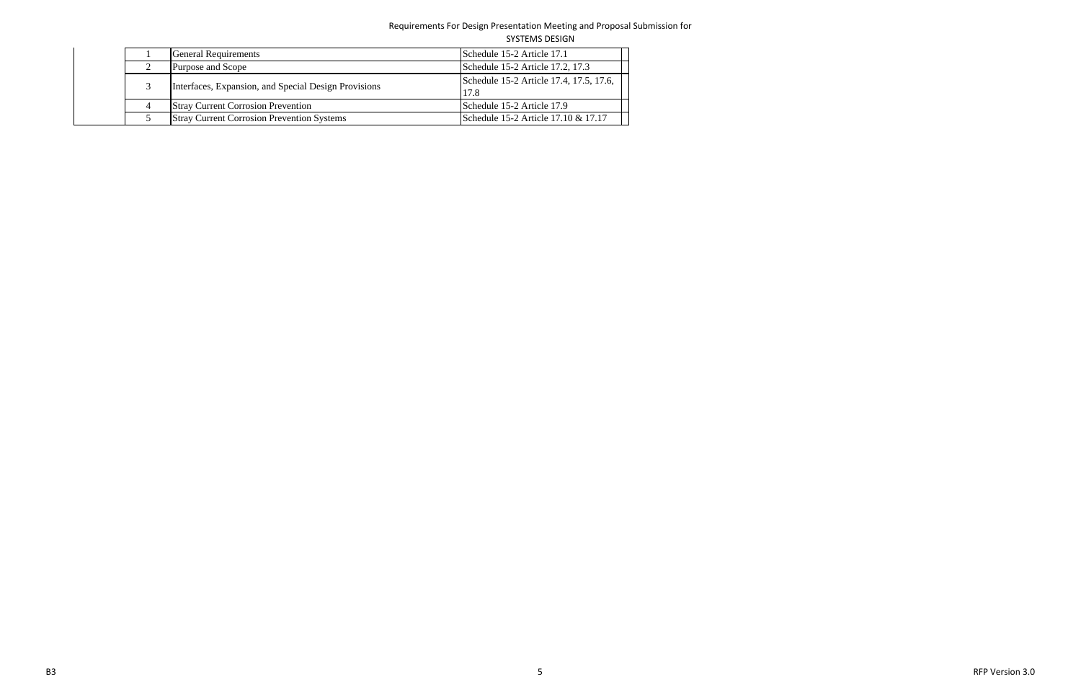| <b>SYSTEMS DESIGN</b> |  |
|-----------------------|--|
|                       |  |

|  | <b>General Requirements</b>                          | Schedule 15-2 Article 17.1                      |
|--|------------------------------------------------------|-------------------------------------------------|
|  | Purpose and Scope                                    | Schedule 15-2 Article 17.2, 17.3                |
|  | Interfaces, Expansion, and Special Design Provisions | Schedule 15-2 Article 17.4, 17.5, 17.6,<br>17.8 |
|  | <b>Stray Current Corrosion Prevention</b>            | Schedule 15-2 Article 17.9                      |
|  | <b>Stray Current Corrosion Prevention Systems</b>    | Schedule 15-2 Article 17.10 & 17.17             |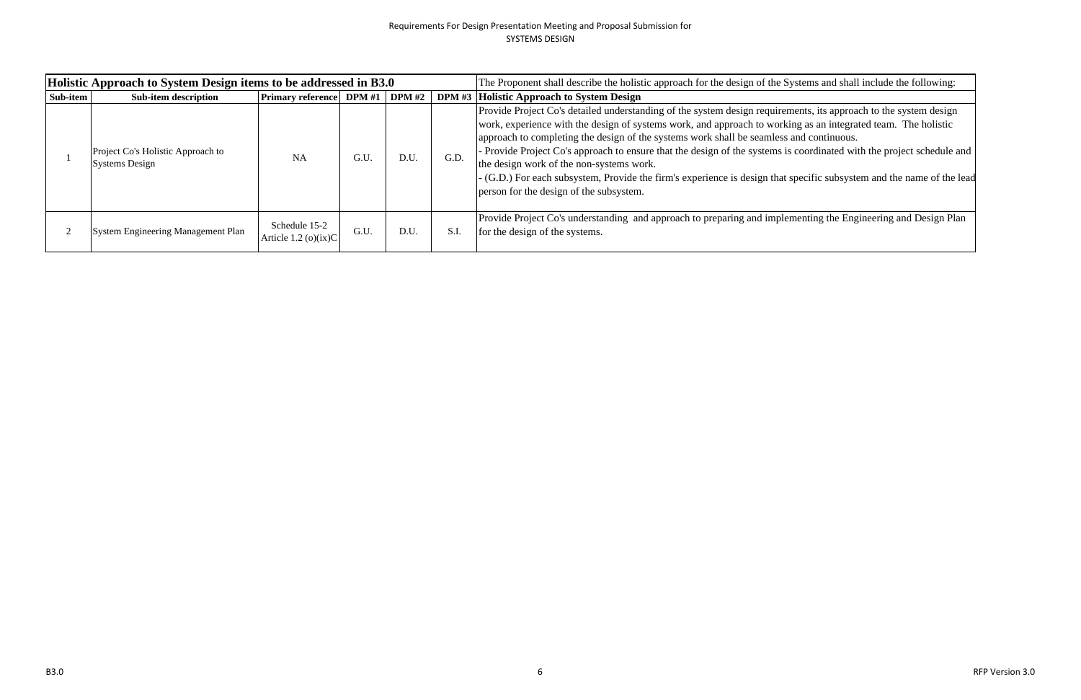|          | Holistic Approach to System Design items to be addressed in B3.0 |                                          |      |      |      | The Proponent shall describe the holistic approach for the design of the Systems and shall include the following:                                                                                                                                                                                                                                                                                                                                                                                                                                                                                                                                                  |
|----------|------------------------------------------------------------------|------------------------------------------|------|------|------|--------------------------------------------------------------------------------------------------------------------------------------------------------------------------------------------------------------------------------------------------------------------------------------------------------------------------------------------------------------------------------------------------------------------------------------------------------------------------------------------------------------------------------------------------------------------------------------------------------------------------------------------------------------------|
| Sub-item | Sub-item description                                             | <b>Primary reference</b> DPM #1 DPM #2   |      |      |      | <b>DPM #3 Holistic Approach to System Design</b>                                                                                                                                                                                                                                                                                                                                                                                                                                                                                                                                                                                                                   |
|          | Project Co's Holistic Approach to<br><b>Systems Design</b>       | NA                                       | G.U  | D.U. | G.D. | Provide Project Co's detailed understanding of the system design requirements, its approach to the system design<br>work, experience with the design of systems work, and approach to working as an integrated team. The holistic<br>approach to completing the design of the systems work shall be seamless and continuous.<br>Provide Project Co's approach to ensure that the design of the systems is coordinated with the project schedule and<br>the design work of the non-systems work.<br>- (G.D.) For each subsystem, Provide the firm's experience is design that specific subsystem and the name of the lea<br>person for the design of the subsystem. |
|          | System Engineering Management Plan                               | Schedule 15-2<br>Article 1.2 (o) $(ix)C$ | G.U. | D.U. | S.I. | Provide Project Co's understanding and approach to preparing and implementing the Engineering and Design Plan<br>for the design of the systems.                                                                                                                                                                                                                                                                                                                                                                                                                                                                                                                    |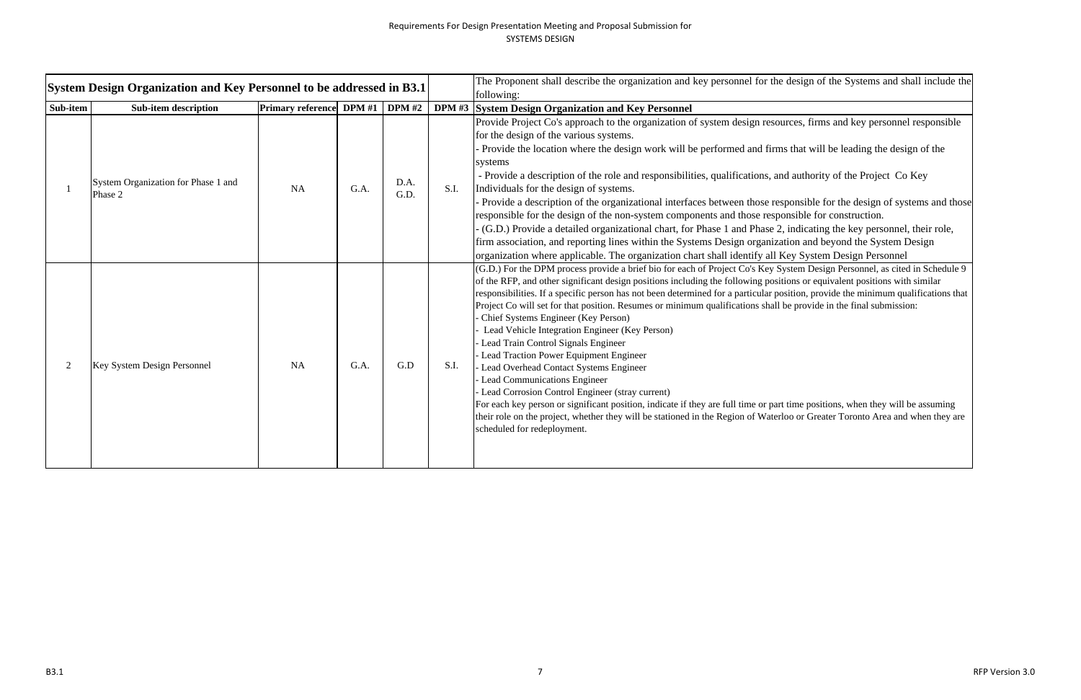| <b>System Design Organization and Key Personnel to be addressed in B3.1</b> |                                                |                          |        |               |      | The Proponent shall describe the organization and key personnel for the design of the Systems and shall include the<br>following:                                                                                                                                                                                                                                                                                                                                                                                                                                                                                                                                                                                                                                                                                                                                                                                                                                                                                                                                                                                                   |
|-----------------------------------------------------------------------------|------------------------------------------------|--------------------------|--------|---------------|------|-------------------------------------------------------------------------------------------------------------------------------------------------------------------------------------------------------------------------------------------------------------------------------------------------------------------------------------------------------------------------------------------------------------------------------------------------------------------------------------------------------------------------------------------------------------------------------------------------------------------------------------------------------------------------------------------------------------------------------------------------------------------------------------------------------------------------------------------------------------------------------------------------------------------------------------------------------------------------------------------------------------------------------------------------------------------------------------------------------------------------------------|
| Sub-item                                                                    | <b>Sub-item description</b>                    | <b>Primary reference</b> | DPM #1 | <b>DPM</b> #2 |      | DPM #3 System Design Organization and Key Personnel                                                                                                                                                                                                                                                                                                                                                                                                                                                                                                                                                                                                                                                                                                                                                                                                                                                                                                                                                                                                                                                                                 |
|                                                                             | System Organization for Phase 1 and<br>Phase 2 | <b>NA</b>                | G.A.   | D.A.<br>G.D.  | S.I. | Provide Project Co's approach to the organization of system design resources, firms and key personnel responsible<br>for the design of the various systems.<br>Provide the location where the design work will be performed and firms that will be leading the design of the<br>systems<br>- Provide a description of the role and responsibilities, qualifications, and authority of the Project Co Key<br>Individuals for the design of systems.<br>Provide a description of the organizational interfaces between those responsible for the design of systems and those<br>responsible for the design of the non-system components and those responsible for construction.<br>(G.D.) Provide a detailed organizational chart, for Phase 1 and Phase 2, indicating the key personnel, their role,<br>firm association, and reporting lines within the Systems Design organization and beyond the System Design<br>organization where applicable. The organization chart shall identify all Key System Design Personnel                                                                                                            |
|                                                                             | Key System Design Personnel                    | <b>NA</b>                | G.A.   | G.D           | S.I. | (G.D.) For the DPM process provide a brief bio for each of Project Co's Key System Design Personnel, as cited in Schedule 9<br>of the RFP, and other significant design positions including the following positions or equivalent positions with similar<br>responsibilities. If a specific person has not been determined for a particular position, provide the minimum qualifications that<br>Project Co will set for that position. Resumes or minimum qualifications shall be provide in the final submission:<br>Chief Systems Engineer (Key Person)<br>Lead Vehicle Integration Engineer (Key Person)<br>Lead Train Control Signals Engineer<br>Lead Traction Power Equipment Engineer<br>Lead Overhead Contact Systems Engineer<br><b>Lead Communications Engineer</b><br>Lead Corrosion Control Engineer (stray current)<br>For each key person or significant position, indicate if they are full time or part time positions, when they will be assuming<br>their role on the project, whether they will be stationed in the Region of Waterloo or Greater Toronto Area and when they are<br>scheduled for redeployment. |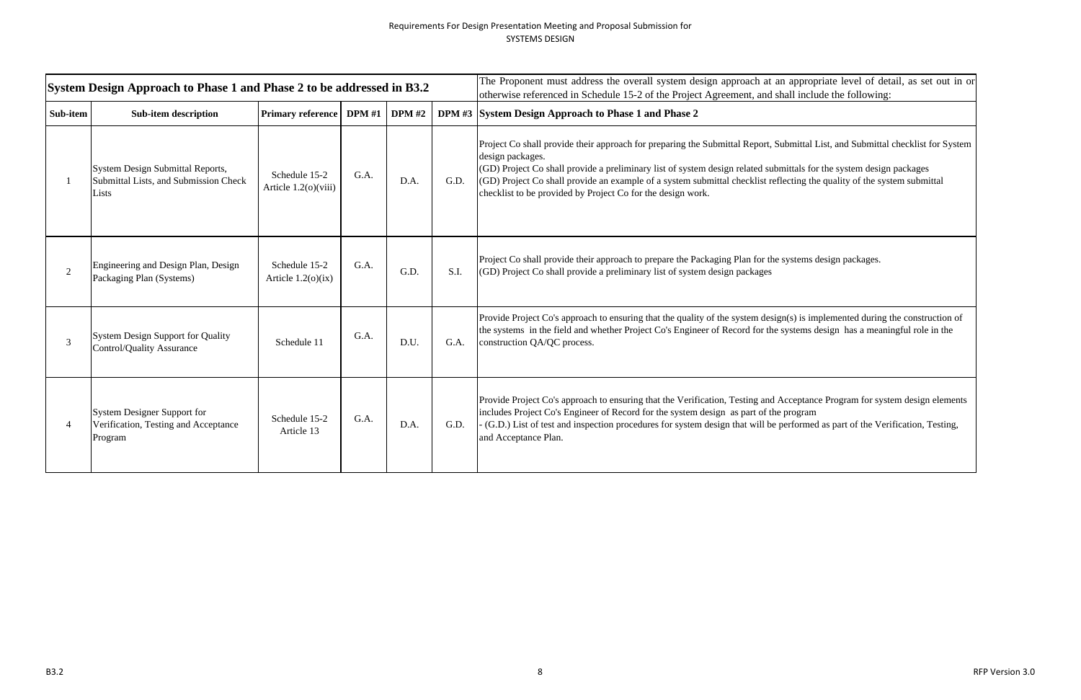|          | System Design Approach to Phase 1 and Phase 2 to be addressed in B3.2              |                                       |                 |      |      | The Proponent must address the overall system design approach at an appropriate level of detail, as set out in or<br>otherwise referenced in Schedule 15-2 of the Project Agreement, and shall include the following:                                                                                                                                                                                                                                               |
|----------|------------------------------------------------------------------------------------|---------------------------------------|-----------------|------|------|---------------------------------------------------------------------------------------------------------------------------------------------------------------------------------------------------------------------------------------------------------------------------------------------------------------------------------------------------------------------------------------------------------------------------------------------------------------------|
| Sub-item | <b>Sub-item description</b>                                                        | <b>Primary reference</b>              | DPM #1   DPM #2 |      |      | DPM #3 System Design Approach to Phase 1 and Phase 2                                                                                                                                                                                                                                                                                                                                                                                                                |
|          | System Design Submittal Reports,<br>Submittal Lists, and Submission Check<br>Lists | Schedule 15-2<br>Article 1.2(o)(viii) | G.A.            | D.A. | G.D. | Project Co shall provide their approach for preparing the Submittal Report, Submittal List, and Submittal checklist for System<br>design packages.<br>(GD) Project Co shall provide a preliminary list of system design related submittals for the system design packages<br>(GD) Project Co shall provide an example of a system submittal checklist reflecting the quality of the system submittal<br>checklist to be provided by Project Co for the design work. |
|          | Engineering and Design Plan, Design<br>Packaging Plan (Systems)                    | Schedule 15-2<br>Article $1.2(0)(ix)$ | G.A.            | G.D. | S.I. | Project Co shall provide their approach to prepare the Packaging Plan for the systems design packages.<br>(GD) Project Co shall provide a preliminary list of system design packages                                                                                                                                                                                                                                                                                |
|          | <b>System Design Support for Quality</b><br><b>Control/Quality Assurance</b>       | Schedule 11                           | G.A.            | D.U. | G.A. | Provide Project Co's approach to ensuring that the quality of the system design(s) is implemented during the construction of<br>the systems in the field and whether Project Co's Engineer of Record for the systems design has a meaningful role in the<br>construction QA/QC process.                                                                                                                                                                             |
|          | System Designer Support for<br>Verification, Testing and Acceptance<br>Program     | Schedule 15-2<br>Article 13           | G.A.            | D.A. | G.D. | Provide Project Co's approach to ensuring that the Verification, Testing and Acceptance Program for system design elements<br>includes Project Co's Engineer of Record for the system design as part of the program<br>- (G.D.) List of test and inspection procedures for system design that will be performed as part of the Verification, Testing,<br>and Acceptance Plan.                                                                                       |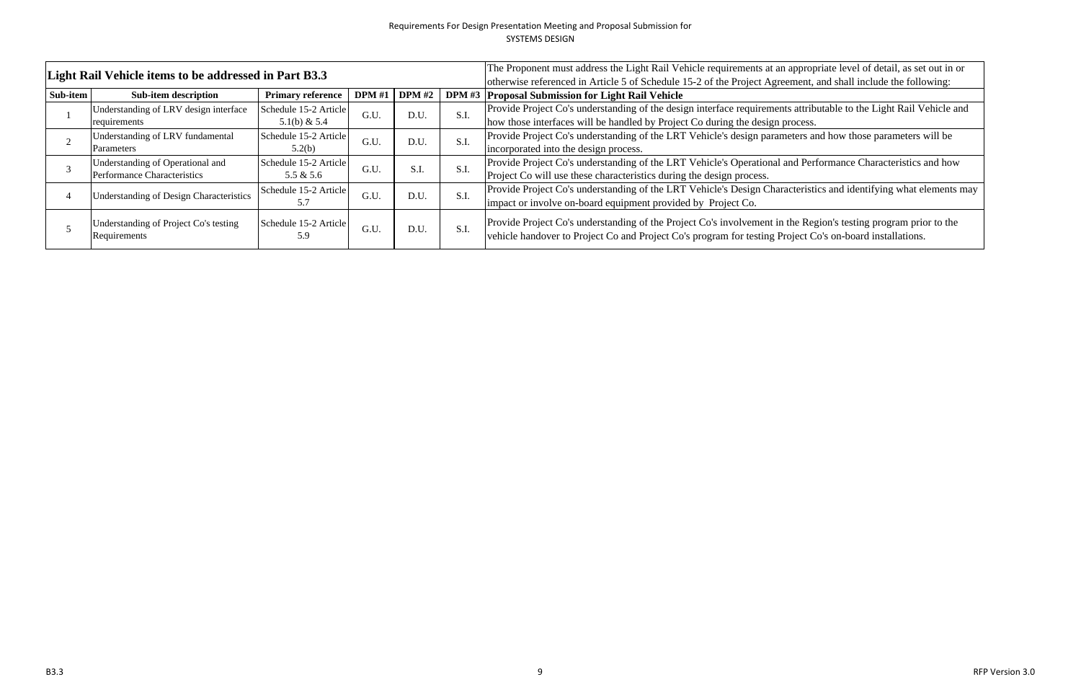|          | Light Rail Vehicle items to be addressed in Part B3.3 |                              |               |               |      | The Proponent must address the Light Rail Vehicle requirements at an appropriate level of detail, as set out in or                                                                                                          |
|----------|-------------------------------------------------------|------------------------------|---------------|---------------|------|-----------------------------------------------------------------------------------------------------------------------------------------------------------------------------------------------------------------------------|
|          |                                                       |                              |               |               |      | otherwise referenced in Article 5 of Schedule 15-2 of the Project Agreement, and shall include the following:                                                                                                               |
| Sub-item | <b>Sub-item description</b>                           | <b>Primary reference</b>     | <b>DPM</b> #1 | <b>DPM</b> #2 |      | DPM #3 Proposal Submission for Light Rail Vehicle                                                                                                                                                                           |
|          | Understanding of LRV design interface                 | Schedule 15-2 Article        | G.U.          | D.U.          | S.I  | Provide Project Co's understanding of the design interface requirements attributable to the Light Rail Vehicle and                                                                                                          |
|          | requirements                                          | 5.1(b) & 5.4                 |               |               |      | how those interfaces will be handled by Project Co during the design process.                                                                                                                                               |
|          | Understanding of LRV fundamental                      | Schedule 15-2 Article        | G.U.          | D.U.          |      | Provide Project Co's understanding of the LRT Vehicle's design parameters and how those parameters will be                                                                                                                  |
|          | Parameters                                            | 5.2(b)                       |               |               | S.I  | incorporated into the design process.                                                                                                                                                                                       |
|          | Understanding of Operational and                      | Schedule 15-2 Article        | G.U.          | S.I.          | S.I  | Provide Project Co's understanding of the LRT Vehicle's Operational and Performance Characteristics and how                                                                                                                 |
|          | Performance Characteristics                           | 5.5 & 5.6                    |               |               |      | Project Co will use these characteristics during the design process.                                                                                                                                                        |
|          | Understanding of Design Characteristics               | Schedule 15-2 Article        | G.U.          | D.U.          | S.I  | Provide Project Co's understanding of the LRT Vehicle's Design Characteristics and identifying what elements ma                                                                                                             |
|          |                                                       |                              |               |               |      | impact or involve on-board equipment provided by Project Co.                                                                                                                                                                |
|          | Understanding of Project Co's testing<br>Requirements | Schedule 15-2 Article<br>5.9 | G.U.          | D.U.          | S.I. | Provide Project Co's understanding of the Project Co's involvement in the Region's testing program prior to the<br>vehicle handover to Project Co and Project Co's program for testing Project Co's on-board installations. |

teristics and identifying what elements may iteristics and identifying what elements may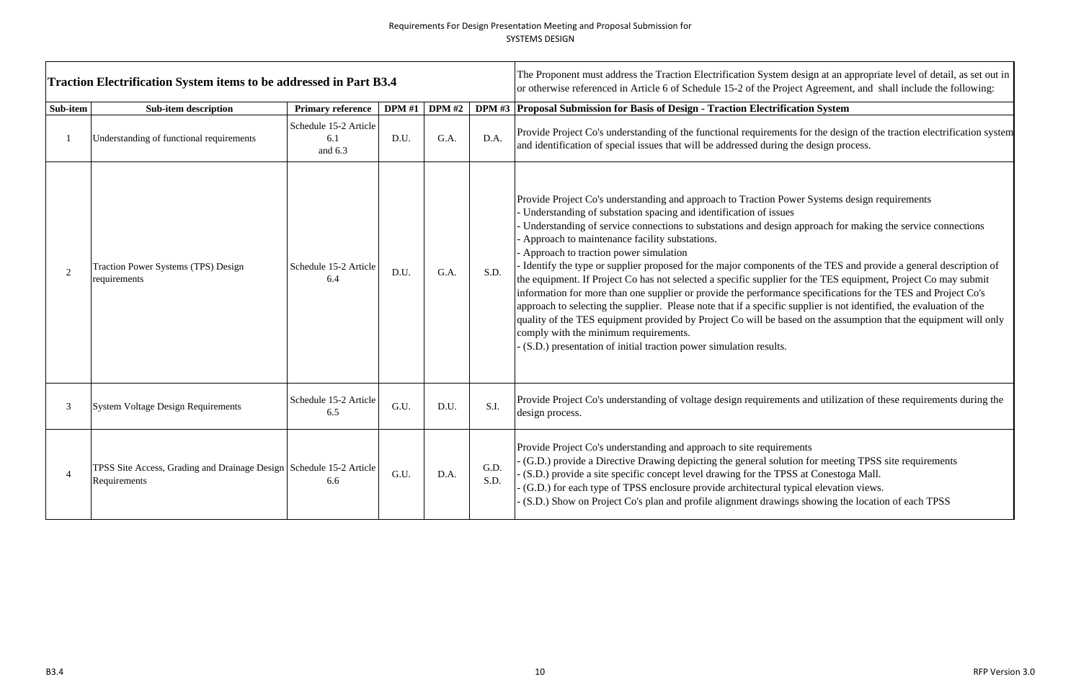|                | <b>Traction Electrification System items to be addressed in Part B3.4</b>           |                                         | The Proponent must address the Traction Electrification System design at an a<br>or otherwise referenced in Article 6 of Schedule 15-2 of the Project Agreemen |               |              |                                                                                                                                                                                                                                                                                                                                                                                                                                                                                                                                                                                                                                                                                                                                                                                                                                                                           |
|----------------|-------------------------------------------------------------------------------------|-----------------------------------------|----------------------------------------------------------------------------------------------------------------------------------------------------------------|---------------|--------------|---------------------------------------------------------------------------------------------------------------------------------------------------------------------------------------------------------------------------------------------------------------------------------------------------------------------------------------------------------------------------------------------------------------------------------------------------------------------------------------------------------------------------------------------------------------------------------------------------------------------------------------------------------------------------------------------------------------------------------------------------------------------------------------------------------------------------------------------------------------------------|
| Sub-item       | <b>Sub-item description</b>                                                         | <b>Primary reference</b>                | <b>DPM</b> #1                                                                                                                                                  | <b>DPM</b> #2 |              | DPM #3 Proposal Submission for Basis of Design - Traction Electrification System                                                                                                                                                                                                                                                                                                                                                                                                                                                                                                                                                                                                                                                                                                                                                                                          |
| $\mathbf{1}$   | Understanding of functional requirements                                            | Schedule 15-2 Article<br>6.1<br>and 6.3 | D.U.                                                                                                                                                           | G.A.          | D.A.         | Provide Project Co's understanding of the functional requirements for the design-<br>and identification of special issues that will be addressed during the design pro                                                                                                                                                                                                                                                                                                                                                                                                                                                                                                                                                                                                                                                                                                    |
| $\overline{2}$ | Traction Power Systems (TPS) Design<br>requirements                                 | Schedule 15-2 Article<br>6.4            | D.U.                                                                                                                                                           | G.A.          | S.D.         | Provide Project Co's understanding and approach to Traction Power Systems of<br>Understanding of substation spacing and identification of issues<br>Understanding of service connections to substations and design approach for<br>Approach to maintenance facility substations.<br>Approach to traction power simulation<br>I dentify the type or supplier proposed for the major components of the TES a<br>the equipment. If Project Co has not selected a specific supplier for the TES equal<br>information for more than one supplier or provide the performance specification<br>approach to selecting the supplier. Please note that if a specific supplier is not<br>quality of the TES equipment provided by Project Co will be based on the assu<br>comply with the minimum requirements.<br>(S.D.) presentation of initial traction power simulation results. |
| 3              | <b>System Voltage Design Requirements</b>                                           | Schedule 15-2 Article<br>6.5            | G.U.                                                                                                                                                           | D.U.          | S.I.         | Provide Project Co's understanding of voltage design requirements and utilizat<br>design process.                                                                                                                                                                                                                                                                                                                                                                                                                                                                                                                                                                                                                                                                                                                                                                         |
| $\overline{4}$ | TPSS Site Access, Grading and Drainage Design Schedule 15-2 Article<br>Requirements | 6.6                                     | G.U.                                                                                                                                                           | D.A.          | G.D.<br>S.D. | Provide Project Co's understanding and approach to site requirements<br>(G.D.) provide a Directive Drawing depicting the general solution for meeting<br>(S.D.) provide a site specific concept level drawing for the TPSS at Conestor<br>(G.D.) for each type of TPSS enclosure provide architectural typical elevation<br>(S.D.) Show on Project Co's plan and profile alignment drawings showing the                                                                                                                                                                                                                                                                                                                                                                                                                                                                   |

design at an appropriate level of detail, as set out in<br>ect Agreement, and shall include the following:

ts for the design of the traction electrification system<br>the design process.

wer Systems design requirements

approach for making the service connections

of the TES and provide a general description of for the TES equipment, Project Co may submit ce specifications for the TES and Project Co's supplier is not identified, the evaluation of the ed on the assumption that the equipment will only

Its and utilization of these requirements during the

ion for meeting TPSS site requirements SS at Conestoga Mall. pical elevation views. gs showing the location of each TPSS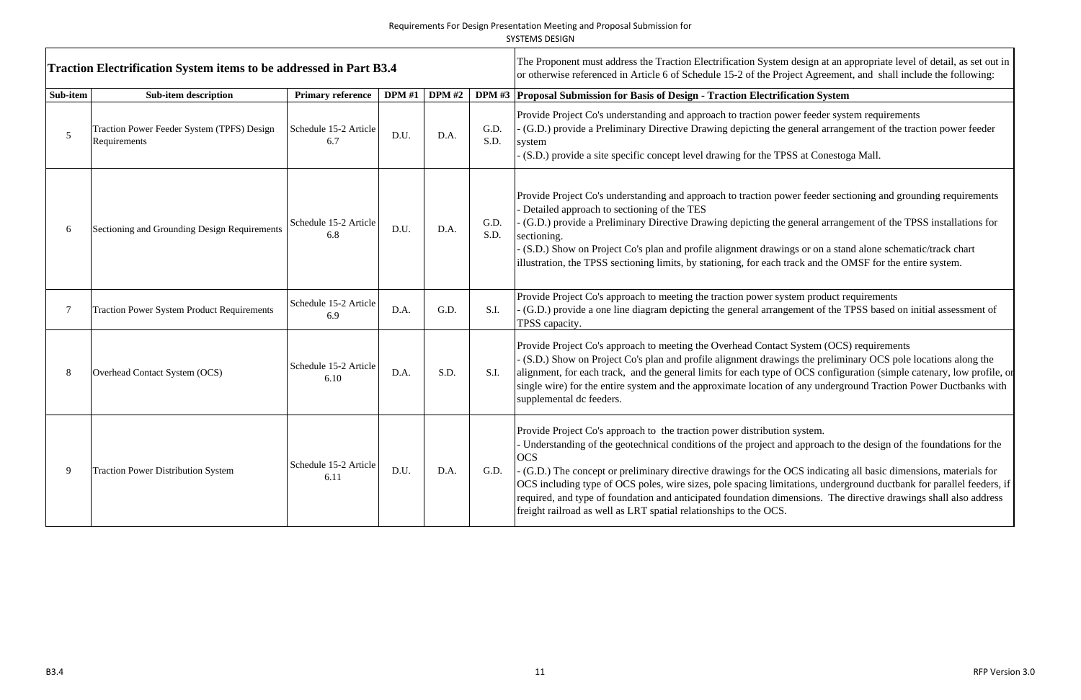The Proponent must address the Traction Electrification System design at an appropriate level of detail, as set out in<br>Traction Electrification System items to be addressed in Part B3.4<br>or otherwise referenced in Article 6 **Sub-item Sub-item description Primary reference DPM #1 DPM #2 DPM #3 Proposal Submission for Basis of Design - Traction Electrification System** 5Traction Power Feeder System (TPFS) Design Schedule 15-2 Article D.U. D.A. G.D.<br>Requirements S.D. Provide Project Co's understanding and approach to traction power feeder system requirements - (G.D.) provide a Preliminary Directive Drawing depicting the general arrangement of the traction power feeder system (S.D.) provide a site specific concept level drawing for the TPSS at Conestoga Mall. 6 Sectioning and Grounding Design Requirements  $\begin{array}{|l|}\n\hline\n\text{Scheduling of } 6.8\n\end{array}$  $\begin{array}{c|cc} 5\text{-}2 \text{ Article} & D.U. & D.A. & S.D. \\ 8 & 0.5 \end{array}$ Provide Project Co's understanding and approach to traction power feeder sectioning and grounding requirements - Detailed approach to sectioning of the TES - (G.D.) provide a Preliminary Directive Drawing depicting the general arrangement of the TPSS installations for sectioning. - (S.D.) Show on Project Co's plan and profile alignment drawings or on a stand alone schematic/track chart illustration, the TPSS sectioning limits, by stationing, for each track and the OMSF for the entire system. 7 Traction Power System Product Requirements Schedule 15-2 Article 6.9 D.A. G.D. S.I. Provide Project Co's approach to meeting the traction power system product requirements G.D. S.I. (G.D.) provide a one line diagram depicting the general arrangement of the TPSS based on initial assessment o TPSS capacity. 8 Overhead Contact System (OCS) Schedule 15-2 Article 6.10  $\begin{array}{c|cc} 0 & \text{D.A.} & \text{S.D.} & \text{S.I.} \end{array}$ Provide Project Co's approach to meeting the Overhead Contact System (OCS) requirements - (S.D.) Show on Project Co's plan and profile alignment drawings the preliminary OCS pole locations along the alignment, for each track, and the general limits for each type of OCS configuration (simple catenary, low profile, or single wire) for the entire system and the approximate location of any underground Traction Power Ductbanks with supplemental dc feeders. 9 Traction Power Distribution System Schedule 15-2 Article 6.11  $\begin{bmatrix} 1 & 0 & 0 \\ 0 & 0 & 0 \\ 0 & 0 & 0 \end{bmatrix}$  D.A. G.D. Provide Project Co's approach to the traction power distribution system. - Understanding of the geotechnical conditions of the project and approach to the design of the foundations for the **OCS** - (G.D.) The concept or preliminary directive drawings for the OCS indicating all basic dimensions, materials for OCS including type of OCS poles, wire sizes, pole spacing limitations, underground ductbank for parallel feeders, if required, and type of foundation and anticipated foundation dimensions. The directive drawings shall also address freight railroad as well as LRT spatial relationships to the OCS.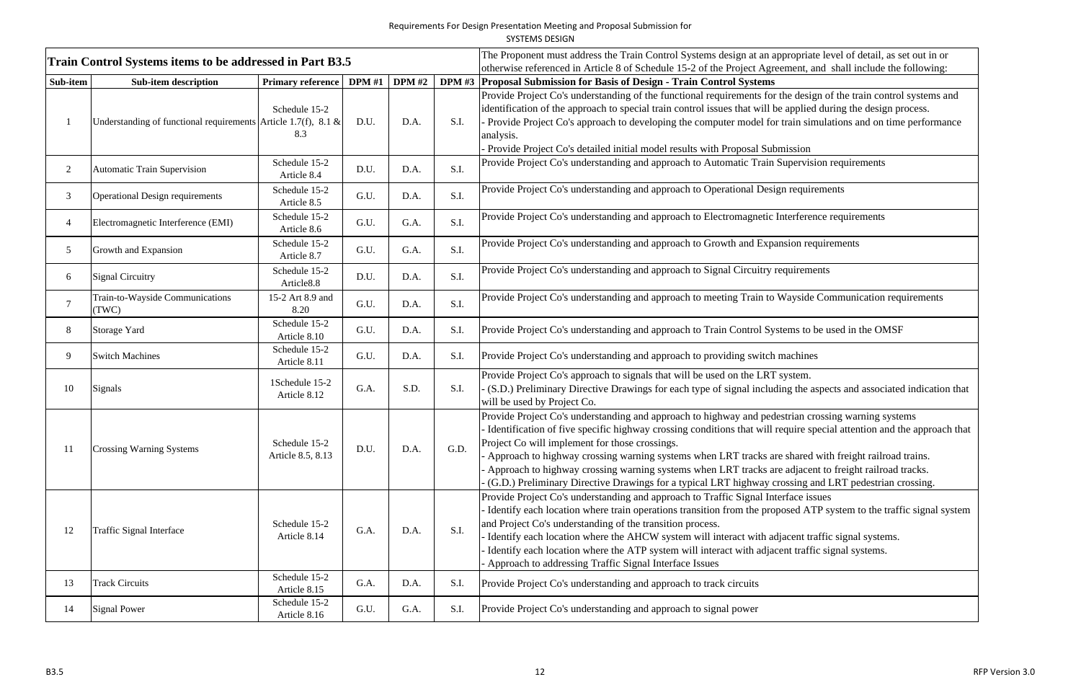|  | <b>SYSTEMS DESIGN</b> |  |
|--|-----------------------|--|
|  |                       |  |

|                | Train Control Systems items to be addressed in Part B3.5          |                                         |               |      |      | The Proponent must address the Train Control Systems design at an appropriate level of detail, as set out in or<br>otherwise referenced in Article 8 of Schedule 15-2 of the Project Agreement, and shall include the following:                                                                                                                                                                                                                                                                                                                                                                         |
|----------------|-------------------------------------------------------------------|-----------------------------------------|---------------|------|------|----------------------------------------------------------------------------------------------------------------------------------------------------------------------------------------------------------------------------------------------------------------------------------------------------------------------------------------------------------------------------------------------------------------------------------------------------------------------------------------------------------------------------------------------------------------------------------------------------------|
| Sub-item       | <b>Sub-item description</b>                                       | Primary reference                       | DPM #1 DPM #2 |      |      | DPM #3   Proposal Submission for Basis of Design - Train Control Systems                                                                                                                                                                                                                                                                                                                                                                                                                                                                                                                                 |
|                | Understanding of functional requirements Article 1.7(f), 8.1 $\&$ | Schedule 15-2<br>8.3                    | D.U.          | D.A. | S.I. | Provide Project Co's understanding of the functional requirements for the design of the train control systems and<br>identification of the approach to special train control issues that will be applied during the design process.<br>Provide Project Co's approach to developing the computer model for train simulations and on time performance<br>analysis.<br>Provide Project Co's detailed initial model results with Proposal Submission                                                                                                                                                         |
| $\overline{2}$ | Automatic Train Supervision                                       | Schedule 15-2<br>Article 8.4            | D.U.          | D.A. | S.I. | Provide Project Co's understanding and approach to Automatic Train Supervision requirements                                                                                                                                                                                                                                                                                                                                                                                                                                                                                                              |
| 3              | <b>Operational Design requirements</b>                            | Schedule 15-2<br>Article 8.5            | G.U.          | D.A. | S.I. | Provide Project Co's understanding and approach to Operational Design requirements                                                                                                                                                                                                                                                                                                                                                                                                                                                                                                                       |
|                | Electromagnetic Interference (EMI)                                | Schedule 15-2<br>Article 8.6            | G.U.          | G.A. | S.I. | Provide Project Co's understanding and approach to Electromagnetic Interference requirements                                                                                                                                                                                                                                                                                                                                                                                                                                                                                                             |
| 5              | Growth and Expansion                                              | Schedule 15-2<br>Article 8.7            | G.U.          | G.A. | S.I. | Provide Project Co's understanding and approach to Growth and Expansion requirements                                                                                                                                                                                                                                                                                                                                                                                                                                                                                                                     |
| 6              | <b>Signal Circuitry</b>                                           | Schedule 15-2<br>Article <sub>8.8</sub> | D.U.          | D.A. | S.I. | Provide Project Co's understanding and approach to Signal Circuitry requirements                                                                                                                                                                                                                                                                                                                                                                                                                                                                                                                         |
|                | Train-to-Wayside Communications<br>(TWC)                          | 15-2 Art 8.9 and<br>8.20                | G.U.          | D.A. | S.I. | Provide Project Co's understanding and approach to meeting Train to Wayside Communication requirements                                                                                                                                                                                                                                                                                                                                                                                                                                                                                                   |
| 8              | Storage Yard                                                      | Schedule 15-2<br>Article 8.10           | G.U.          | D.A. | S.I. | Provide Project Co's understanding and approach to Train Control Systems to be used in the OMSF                                                                                                                                                                                                                                                                                                                                                                                                                                                                                                          |
| 9              | <b>Switch Machines</b>                                            | Schedule 15-2<br>Article 8.11           | G.U.          | D.A. | S.I. | Provide Project Co's understanding and approach to providing switch machines                                                                                                                                                                                                                                                                                                                                                                                                                                                                                                                             |
| 10             | Signals                                                           | 1Schedule 15-2<br>Article 8.12          | G.A.          | S.D. | S.I. | Provide Project Co's approach to signals that will be used on the LRT system.<br>(S.D.) Preliminary Directive Drawings for each type of signal including the aspects and associated indication that<br>will be used by Project Co.                                                                                                                                                                                                                                                                                                                                                                       |
| 11             | <b>Crossing Warning Systems</b>                                   | Schedule 15-2<br>Article 8.5, 8.13      | D.U.          | D.A. | G.D. | Provide Project Co's understanding and approach to highway and pedestrian crossing warning systems<br>Identification of five specific highway crossing conditions that will require special attention and the approach that<br>Project Co will implement for those crossings.<br>Approach to highway crossing warning systems when LRT tracks are shared with freight railroad trains.<br>Approach to highway crossing warning systems when LRT tracks are adjacent to freight railroad tracks.<br>(G.D.) Preliminary Directive Drawings for a typical LRT highway crossing and LRT pedestrian crossing. |
| 12             | Traffic Signal Interface                                          | Schedule 15-2<br>Article 8.14           | G.A.          | D.A. | S.I. | Provide Project Co's understanding and approach to Traffic Signal Interface issues<br>Identify each location where train operations transition from the proposed ATP system to the traffic signal system<br>and Project Co's understanding of the transition process.<br>Identify each location where the AHCW system will interact with adjacent traffic signal systems.<br>Identify each location where the ATP system will interact with adjacent traffic signal systems.<br>Approach to addressing Traffic Signal Interface Issues                                                                   |
| 13             | <b>Track Circuits</b>                                             | Schedule 15-2<br>Article 8.15           | G.A.          | D.A. | S.I. | Provide Project Co's understanding and approach to track circuits                                                                                                                                                                                                                                                                                                                                                                                                                                                                                                                                        |
| 14             | <b>Signal Power</b>                                               | Schedule 15-2<br>Article 8.16           | G.U.          | G.A. | S.I. | Provide Project Co's understanding and approach to signal power                                                                                                                                                                                                                                                                                                                                                                                                                                                                                                                                          |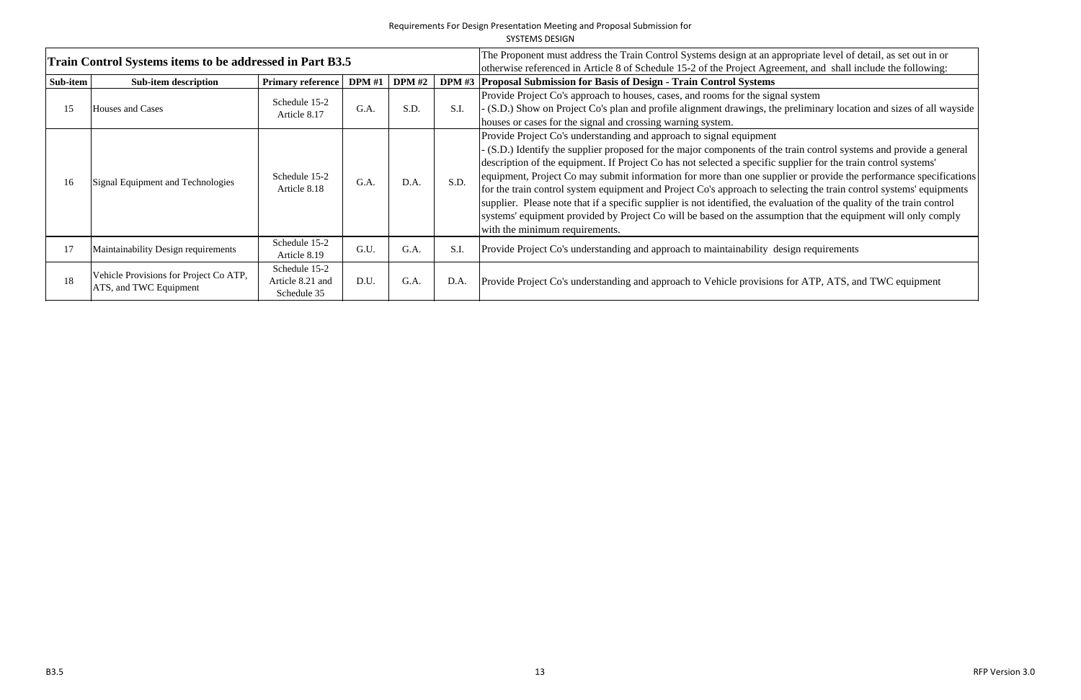|          | Train Control Systems items to be addressed in Part B3.5         |                                                  |        | The Proponent must address the Train Control Systems design at an appropriate level of<br>otherwise referenced in Article 8 of Schedule 15-2 of the Project Agreement, and shall i |      |                                                                                                                                                                                                                                                                                                                                                                                                                                                                                                                                                                                                                                                                                          |
|----------|------------------------------------------------------------------|--------------------------------------------------|--------|------------------------------------------------------------------------------------------------------------------------------------------------------------------------------------|------|------------------------------------------------------------------------------------------------------------------------------------------------------------------------------------------------------------------------------------------------------------------------------------------------------------------------------------------------------------------------------------------------------------------------------------------------------------------------------------------------------------------------------------------------------------------------------------------------------------------------------------------------------------------------------------------|
| Sub-item | <b>Sub-item description</b>                                      | <b>Primary reference</b>                         | DPM #1 | <b>DPM</b> #2                                                                                                                                                                      |      | DPM #3 Proposal Submission for Basis of Design - Train Control Systems                                                                                                                                                                                                                                                                                                                                                                                                                                                                                                                                                                                                                   |
| 15       | Houses and Cases                                                 | Schedule 15-2<br>Article 8.17                    | G.A.   | S.D.                                                                                                                                                                               | S.I. | Provide Project Co's approach to houses, cases, and rooms for the signal system<br>(S.D.) Show on Project Co's plan and profile alignment drawings, the preliminary locat<br>houses or cases for the signal and crossing warning system.                                                                                                                                                                                                                                                                                                                                                                                                                                                 |
| 16       | Signal Equipment and Technologies                                | Schedule 15-2<br>Article 8.18                    | G.A.   | D.A.                                                                                                                                                                               | S.D. | Provide Project Co's understanding and approach to signal equipment<br>(S.D.) Identify the supplier proposed for the major components of the train control system<br>description of the equipment. If Project Co has not selected a specific supplier for the tra<br>equipment, Project Co may submit information for more than one supplier or provide the<br>for the train control system equipment and Project Co's approach to selecting the train co<br>supplier. Please note that if a specific supplier is not identified, the evaluation of the qua<br>systems' equipment provided by Project Co will be based on the assumption that the equi<br>with the minimum requirements. |
| 17       | Maintainability Design requirements                              | Schedule 15-2<br>Article 8.19                    | G.U.   | G.A.                                                                                                                                                                               | S.I. | Provide Project Co's understanding and approach to maintainability design requirements                                                                                                                                                                                                                                                                                                                                                                                                                                                                                                                                                                                                   |
| 18       | Vehicle Provisions for Project Co ATP,<br>ATS, and TWC Equipment | Schedule 15-2<br>Article 8.21 and<br>Schedule 35 | D.U.   | G.A.                                                                                                                                                                               | D.A. | Provide Project Co's understanding and approach to Vehicle provisions for ATP, ATS, and                                                                                                                                                                                                                                                                                                                                                                                                                                                                                                                                                                                                  |

opriate level of detail, as set out in or<br>eent, and shall include the following:

system<br>reliminary location and sizes of all wayside<br>

rain control systems and provide a general pplier for the train control systems' er or provide the performance specifications tting the train control systems' equipments ation of the quality of the train control ion that the equipment will only comply

or ATP, ATS, and TWC equipment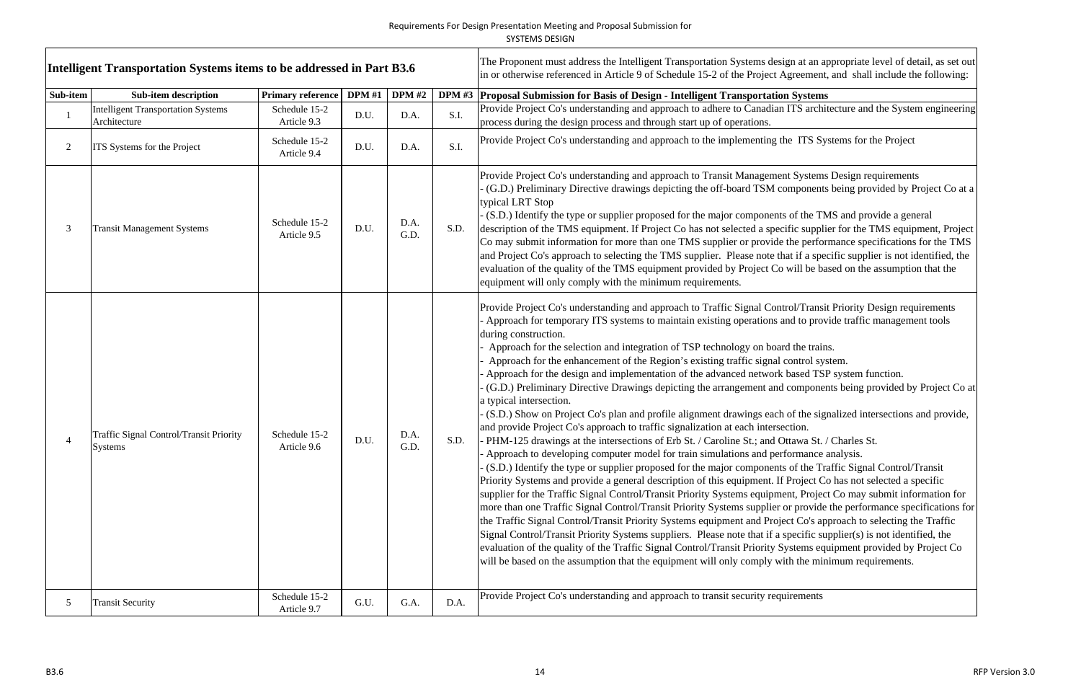|          | Intelligent Transportation Systems items to be addressed in Part B3.6 |                              |        |               |      | The Proponent must address the Intelligent Transportation Systems design at an appropriate level of detail, as set out<br>in or otherwise referenced in Article 9 of Schedule 15-2 of the Project Agreement, and shall include the following:                                                                                                                                                                                                                                                                                                                                                                                                                                                                                                                                                                                                                                                                                                                                                                                                                                                                                                                                                                                                                                                                                                                                                                                                                                                                                                                                                                                                                                                                                                                                                                                                                                                                                                                                                                                               |
|----------|-----------------------------------------------------------------------|------------------------------|--------|---------------|------|---------------------------------------------------------------------------------------------------------------------------------------------------------------------------------------------------------------------------------------------------------------------------------------------------------------------------------------------------------------------------------------------------------------------------------------------------------------------------------------------------------------------------------------------------------------------------------------------------------------------------------------------------------------------------------------------------------------------------------------------------------------------------------------------------------------------------------------------------------------------------------------------------------------------------------------------------------------------------------------------------------------------------------------------------------------------------------------------------------------------------------------------------------------------------------------------------------------------------------------------------------------------------------------------------------------------------------------------------------------------------------------------------------------------------------------------------------------------------------------------------------------------------------------------------------------------------------------------------------------------------------------------------------------------------------------------------------------------------------------------------------------------------------------------------------------------------------------------------------------------------------------------------------------------------------------------------------------------------------------------------------------------------------------------|
| Sub-item | <b>Sub-item description</b>                                           | <b>Primary reference</b>     | DPM #1 | <b>DPM</b> #2 |      | DPM #3   Proposal Submission for Basis of Design - Intelligent Transportation Systems                                                                                                                                                                                                                                                                                                                                                                                                                                                                                                                                                                                                                                                                                                                                                                                                                                                                                                                                                                                                                                                                                                                                                                                                                                                                                                                                                                                                                                                                                                                                                                                                                                                                                                                                                                                                                                                                                                                                                       |
|          | <b>Intelligent Transportation Systems</b><br>Architecture             | Schedule 15-2<br>Article 9.3 | D.U.   | D.A.          | S.I. | Provide Project Co's understanding and approach to adhere to Canadian ITS architecture and the System engineering<br>process during the design process and through start up of operations.                                                                                                                                                                                                                                                                                                                                                                                                                                                                                                                                                                                                                                                                                                                                                                                                                                                                                                                                                                                                                                                                                                                                                                                                                                                                                                                                                                                                                                                                                                                                                                                                                                                                                                                                                                                                                                                  |
|          | ITS Systems for the Project                                           | Schedule 15-2<br>Article 9.4 | D.U.   | D.A.          | S.I. | Provide Project Co's understanding and approach to the implementing the ITS Systems for the Project                                                                                                                                                                                                                                                                                                                                                                                                                                                                                                                                                                                                                                                                                                                                                                                                                                                                                                                                                                                                                                                                                                                                                                                                                                                                                                                                                                                                                                                                                                                                                                                                                                                                                                                                                                                                                                                                                                                                         |
|          | <b>Transit Management Systems</b>                                     | Schedule 15-2<br>Article 9.5 | D.U.   | D.A.<br>G.D.  | S.D. | Provide Project Co's understanding and approach to Transit Management Systems Design requirements<br>(G.D.) Preliminary Directive drawings depicting the off-board TSM components being provided by Project Co at a<br>typical LRT Stop<br>(S.D.) Identify the type or supplier proposed for the major components of the TMS and provide a general<br>description of the TMS equipment. If Project Co has not selected a specific supplier for the TMS equipment, Project<br>Co may submit information for more than one TMS supplier or provide the performance specifications for the TMS<br>and Project Co's approach to selecting the TMS supplier. Please note that if a specific supplier is not identified, the<br>evaluation of the quality of the TMS equipment provided by Project Co will be based on the assumption that the<br>equipment will only comply with the minimum requirements.                                                                                                                                                                                                                                                                                                                                                                                                                                                                                                                                                                                                                                                                                                                                                                                                                                                                                                                                                                                                                                                                                                                                       |
|          | Traffic Signal Control/Transit Priority<br>Systems                    | Schedule 15-2<br>Article 9.6 | D.U.   | D.A.<br>G.D.  | S.D. | Provide Project Co's understanding and approach to Traffic Signal Control/Transit Priority Design requirements<br>Approach for temporary ITS systems to maintain existing operations and to provide traffic management tools<br>during construction.<br>Approach for the selection and integration of TSP technology on board the trains.<br>Approach for the enhancement of the Region's existing traffic signal control system.<br>Approach for the design and implementation of the advanced network based TSP system function.<br>(G.D.) Preliminary Directive Drawings depicting the arrangement and components being provided by Project Co at<br>a typical intersection.<br>(S.D.) Show on Project Co's plan and profile alignment drawings each of the signalized intersections and provide,<br>and provide Project Co's approach to traffic signalization at each intersection.<br>- PHM-125 drawings at the intersections of Erb St. / Caroline St.; and Ottawa St. / Charles St.<br>Approach to developing computer model for train simulations and performance analysis.<br>(S.D.) Identify the type or supplier proposed for the major components of the Traffic Signal Control/Transit<br>Priority Systems and provide a general description of this equipment. If Project Co has not selected a specific<br>supplier for the Traffic Signal Control/Transit Priority Systems equipment, Project Co may submit information for<br>more than one Traffic Signal Control/Transit Priority Systems supplier or provide the performance specifications for<br>the Traffic Signal Control/Transit Priority Systems equipment and Project Co's approach to selecting the Traffic<br>Signal Control/Transit Priority Systems suppliers. Please note that if a specific supplier(s) is not identified, the<br>evaluation of the quality of the Traffic Signal Control/Transit Priority Systems equipment provided by Project Co<br>will be based on the assumption that the equipment will only comply with the minimum requirements. |
| 5        | <b>Transit Security</b>                                               | Schedule 15-2<br>Article 9.7 | G.U.   | G.A.          | D.A. | Provide Project Co's understanding and approach to transit security requirements                                                                                                                                                                                                                                                                                                                                                                                                                                                                                                                                                                                                                                                                                                                                                                                                                                                                                                                                                                                                                                                                                                                                                                                                                                                                                                                                                                                                                                                                                                                                                                                                                                                                                                                                                                                                                                                                                                                                                            |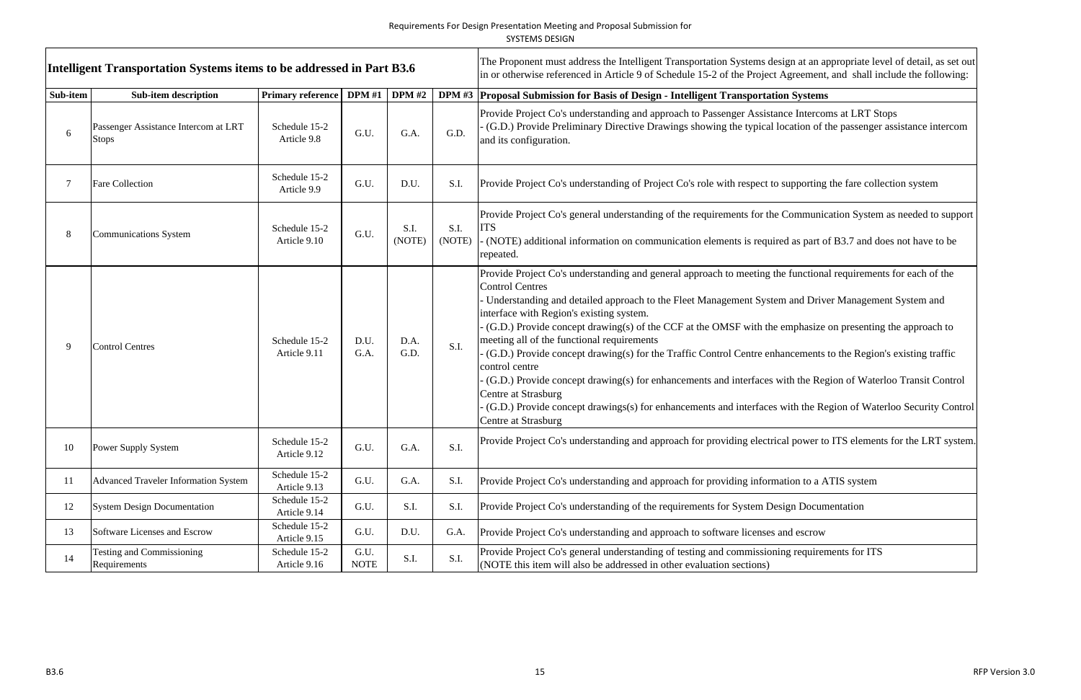| Intelligent Transportation Systems items to be addressed in Part B3.6 |                                                      |                               |                     |                |                | The Proponent must address the Intelligent Transportation Systems design at an appropriate level of detail, as set out<br>in or otherwise referenced in Article 9 of Schedule 15-2 of the Project Agreement, and shall include the following:                                                                                                                                                                                                                                                                                                                                                                                                                                                                                                                                                                                                                                |  |
|-----------------------------------------------------------------------|------------------------------------------------------|-------------------------------|---------------------|----------------|----------------|------------------------------------------------------------------------------------------------------------------------------------------------------------------------------------------------------------------------------------------------------------------------------------------------------------------------------------------------------------------------------------------------------------------------------------------------------------------------------------------------------------------------------------------------------------------------------------------------------------------------------------------------------------------------------------------------------------------------------------------------------------------------------------------------------------------------------------------------------------------------------|--|
| Sub-item                                                              | <b>Sub-item description</b>                          | Primary reference   DPM #1    |                     | <b>DPM</b> #2  |                | DPM #3 Proposal Submission for Basis of Design - Intelligent Transportation Systems                                                                                                                                                                                                                                                                                                                                                                                                                                                                                                                                                                                                                                                                                                                                                                                          |  |
|                                                                       | Passenger Assistance Intercom at LRT<br><b>Stops</b> | Schedule 15-2<br>Article 9.8  | G.U.                | G.A.           | G.D.           | Provide Project Co's understanding and approach to Passenger Assistance Intercoms at LRT Stops<br>(G.D.) Provide Preliminary Directive Drawings showing the typical location of the passenger assistance intercom<br>and its configuration.                                                                                                                                                                                                                                                                                                                                                                                                                                                                                                                                                                                                                                  |  |
|                                                                       | <b>Fare Collection</b>                               | Schedule 15-2<br>Article 9.9  | G.U.                | D.U.           | S.I.           | Provide Project Co's understanding of Project Co's role with respect to supporting the fare collection system                                                                                                                                                                                                                                                                                                                                                                                                                                                                                                                                                                                                                                                                                                                                                                |  |
|                                                                       | <b>Communications System</b>                         | Schedule 15-2<br>Article 9.10 | G.U.                | S.I.<br>(NOTE) | S.I.<br>(NOTE) | Provide Project Co's general understanding of the requirements for the Communication System as needed to support<br><b>ITS</b><br>- (NOTE) additional information on communication elements is required as part of B3.7 and does not have to be<br>repeated.                                                                                                                                                                                                                                                                                                                                                                                                                                                                                                                                                                                                                 |  |
|                                                                       | <b>Control Centres</b>                               | Schedule 15-2<br>Article 9.11 | D.U.<br>G.A.        | D.A.<br>G.D.   | S.I.           | Provide Project Co's understanding and general approach to meeting the functional requirements for each of the<br><b>Control Centres</b><br>Understanding and detailed approach to the Fleet Management System and Driver Management System and<br>interface with Region's existing system.<br>(G.D.) Provide concept drawing(s) of the CCF at the OMSF with the emphasize on presenting the approach to<br>meeting all of the functional requirements<br>(G.D.) Provide concept drawing(s) for the Traffic Control Centre enhancements to the Region's existing traffic<br>control centre<br>(G.D.) Provide concept drawing(s) for enhancements and interfaces with the Region of Waterloo Transit Control<br>Centre at Strasburg<br>(G.D.) Provide concept drawings(s) for enhancements and interfaces with the Region of Waterloo Security Control<br>Centre at Strasburg |  |
| 10                                                                    | Power Supply System                                  | Schedule 15-2<br>Article 9.12 | G.U.                | G.A.           | S.I.           | Provide Project Co's understanding and approach for providing electrical power to ITS elements for the LRT system.                                                                                                                                                                                                                                                                                                                                                                                                                                                                                                                                                                                                                                                                                                                                                           |  |
| 11                                                                    | <b>Advanced Traveler Information System</b>          | Schedule 15-2<br>Article 9.13 | G.U.                | G.A.           | S.I.           | Provide Project Co's understanding and approach for providing information to a ATIS system                                                                                                                                                                                                                                                                                                                                                                                                                                                                                                                                                                                                                                                                                                                                                                                   |  |
| 12                                                                    | <b>System Design Documentation</b>                   | Schedule 15-2<br>Article 9.14 | G.U.                | S.I.           | S.I.           | Provide Project Co's understanding of the requirements for System Design Documentation                                                                                                                                                                                                                                                                                                                                                                                                                                                                                                                                                                                                                                                                                                                                                                                       |  |
| 13                                                                    | Software Licenses and Escrow                         | Schedule 15-2<br>Article 9.15 | G.U.                | D.U.           | G.A.           | Provide Project Co's understanding and approach to software licenses and escrow                                                                                                                                                                                                                                                                                                                                                                                                                                                                                                                                                                                                                                                                                                                                                                                              |  |
| 14                                                                    | <b>Testing and Commissioning</b><br>Requirements     | Schedule 15-2<br>Article 9.16 | G.U.<br><b>NOTE</b> | S.I.           | S.I.           | Provide Project Co's general understanding of testing and commissioning requirements for ITS<br>(NOTE this item will also be addressed in other evaluation sections)                                                                                                                                                                                                                                                                                                                                                                                                                                                                                                                                                                                                                                                                                                         |  |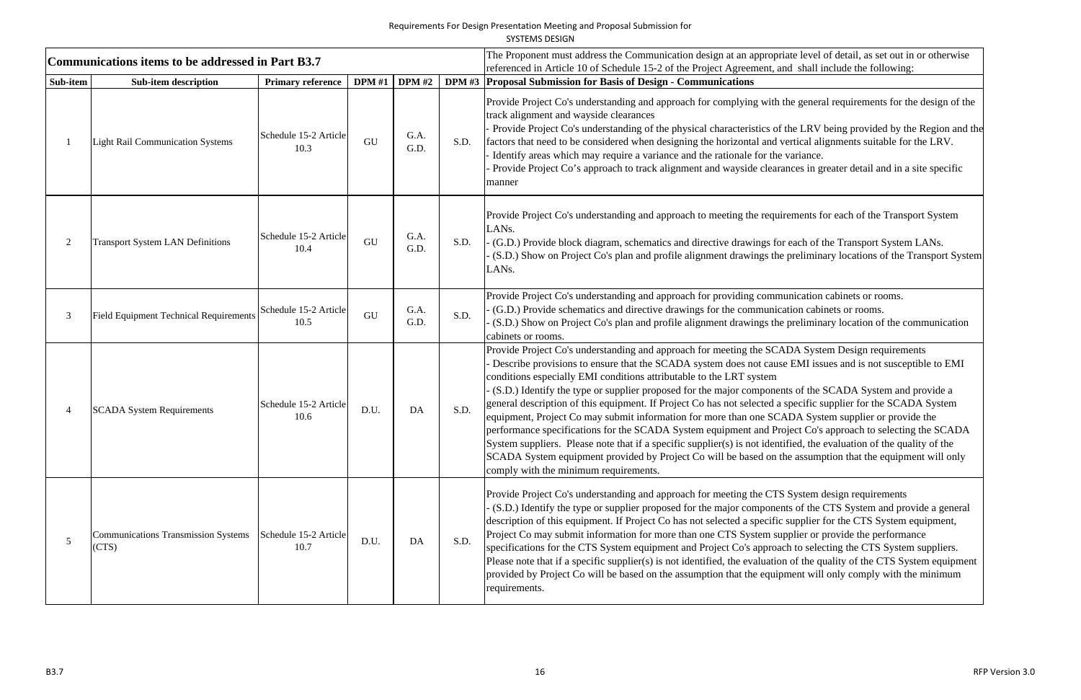SYSTEMS DESIGN

|          | Communications items to be addressed in Part B3.7   |                               |               |               |      | The Proponent must address the Communication design at an appropriate level of detail, as set out in or otherwise<br>referenced in Article 10 of Schedule 15-2 of the Project Agreement, and shall include the following:                                                                                                                                                                                                                                                                                                                                                                                                                                                                                                                                                                                                                                                                                                                                                                                                |
|----------|-----------------------------------------------------|-------------------------------|---------------|---------------|------|--------------------------------------------------------------------------------------------------------------------------------------------------------------------------------------------------------------------------------------------------------------------------------------------------------------------------------------------------------------------------------------------------------------------------------------------------------------------------------------------------------------------------------------------------------------------------------------------------------------------------------------------------------------------------------------------------------------------------------------------------------------------------------------------------------------------------------------------------------------------------------------------------------------------------------------------------------------------------------------------------------------------------|
| Sub-item | <b>Sub-item description</b>                         | <b>Primary reference</b>      | <b>DPM</b> #1 | <b>DPM</b> #2 |      | DPM #3 Proposal Submission for Basis of Design - Communications                                                                                                                                                                                                                                                                                                                                                                                                                                                                                                                                                                                                                                                                                                                                                                                                                                                                                                                                                          |
|          | <b>Light Rail Communication Systems</b>             | Schedule 15-2 Article<br>10.3 | GU            | G.A.<br>G.D.  | S.D. | Provide Project Co's understanding and approach for complying with the general requirements for the design of the<br>track alignment and wayside clearances<br>Provide Project Co's understanding of the physical characteristics of the LRV being provided by the Region and the<br>factors that need to be considered when designing the horizontal and vertical alignments suitable for the LRV.<br>Identify areas which may require a variance and the rationale for the variance.<br>Provide Project Co's approach to track alignment and wayside clearances in greater detail and in a site specific<br>manner                                                                                                                                                                                                                                                                                                                                                                                                     |
|          | <b>Transport System LAN Definitions</b>             | Schedule 15-2 Article<br>10.4 | GU            | G.A.<br>G.D.  | S.D. | Provide Project Co's understanding and approach to meeting the requirements for each of the Transport System<br>LANs.<br>(G.D.) Provide block diagram, schematics and directive drawings for each of the Transport System LANs.<br>(S.D.) Show on Project Co's plan and profile alignment drawings the preliminary locations of the Transport System<br>LANs.                                                                                                                                                                                                                                                                                                                                                                                                                                                                                                                                                                                                                                                            |
|          | <b>Field Equipment Technical Requirements</b>       | Schedule 15-2 Article<br>10.5 | GU            | G.A.<br>G.D.  | S.D. | Provide Project Co's understanding and approach for providing communication cabinets or rooms.<br>(G.D.) Provide schematics and directive drawings for the communication cabinets or rooms.<br>(S.D.) Show on Project Co's plan and profile alignment drawings the preliminary location of the communication<br>cabinets or rooms.                                                                                                                                                                                                                                                                                                                                                                                                                                                                                                                                                                                                                                                                                       |
|          | <b>SCADA System Requirements</b>                    | Schedule 15-2 Article<br>10.6 | D.U.          | DA            | S.D. | Provide Project Co's understanding and approach for meeting the SCADA System Design requirements<br>Describe provisions to ensure that the SCADA system does not cause EMI issues and is not susceptible to EMI<br>conditions especially EMI conditions attributable to the LRT system<br>(S.D.) Identify the type or supplier proposed for the major components of the SCADA System and provide a<br>general description of this equipment. If Project Co has not selected a specific supplier for the SCADA System<br>equipment, Project Co may submit information for more than one SCADA System supplier or provide the<br>performance specifications for the SCADA System equipment and Project Co's approach to selecting the SCADA<br>System suppliers. Please note that if a specific supplier(s) is not identified, the evaluation of the quality of the<br>SCADA System equipment provided by Project Co will be based on the assumption that the equipment will only<br>comply with the minimum requirements. |
|          | <b>Communications Transmission Systems</b><br>(CTS) | Schedule 15-2 Article<br>10.7 | D.U.          | DA            | S.D. | Provide Project Co's understanding and approach for meeting the CTS System design requirements<br>(S.D.) Identify the type or supplier proposed for the major components of the CTS System and provide a general<br>description of this equipment. If Project Co has not selected a specific supplier for the CTS System equipment,<br>Project Co may submit information for more than one CTS System supplier or provide the performance<br>specifications for the CTS System equipment and Project Co's approach to selecting the CTS System suppliers.<br>Please note that if a specific supplier(s) is not identified, the evaluation of the quality of the CTS System equipment<br>provided by Project Co will be based on the assumption that the equipment will only comply with the minimum<br>requirements.                                                                                                                                                                                                     |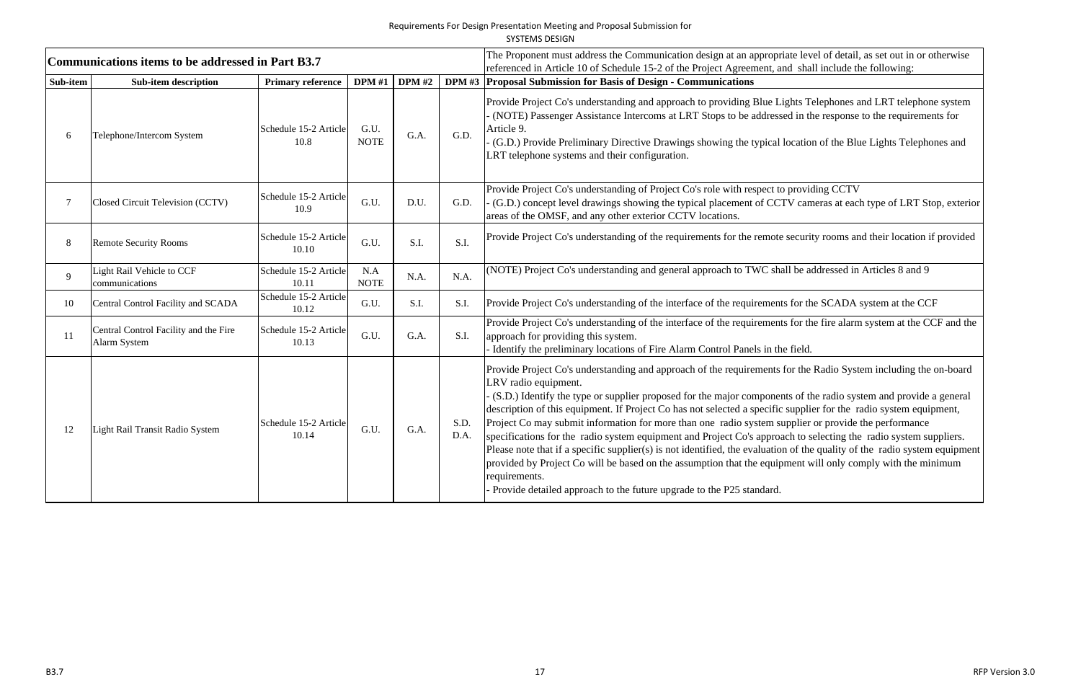SYSTEMS DESIGN

|          | Communications items to be addressed in Part B3.7     |                                |                     |               |              | The Proponent must address the Communication design at an appropriate level of detail, as set out in or otherwise                                                                                                                                                                                                                                                                                                                                                                                                                                                                                                                                                                                                                                                                                                                                                                                                                                 |
|----------|-------------------------------------------------------|--------------------------------|---------------------|---------------|--------------|---------------------------------------------------------------------------------------------------------------------------------------------------------------------------------------------------------------------------------------------------------------------------------------------------------------------------------------------------------------------------------------------------------------------------------------------------------------------------------------------------------------------------------------------------------------------------------------------------------------------------------------------------------------------------------------------------------------------------------------------------------------------------------------------------------------------------------------------------------------------------------------------------------------------------------------------------|
| Sub-item | <b>Sub-item description</b>                           | <b>Primary reference</b>       |                     | DPM #1 DPM #2 |              | referenced in Article 10 of Schedule 15-2 of the Project Agreement, and shall include the following:<br>DPM #3   Proposal Submission for Basis of Design - Communications                                                                                                                                                                                                                                                                                                                                                                                                                                                                                                                                                                                                                                                                                                                                                                         |
| 6        | Telephone/Intercom System                             | Schedule 15-2 Article<br>10.8  | G.U.<br><b>NOTE</b> | G.A.          | G.D.         | Provide Project Co's understanding and approach to providing Blue Lights Telephones and LRT telephone system<br>(NOTE) Passenger Assistance Intercoms at LRT Stops to be addressed in the response to the requirements for<br>Article 9.<br>(G.D.) Provide Preliminary Directive Drawings showing the typical location of the Blue Lights Telephones and<br>LRT telephone systems and their configuration.                                                                                                                                                                                                                                                                                                                                                                                                                                                                                                                                        |
|          | Closed Circuit Television (CCTV)                      | Schedule 15-2 Article<br>10.9  | G.U.                | D.U.          | G.D.         | Provide Project Co's understanding of Project Co's role with respect to providing CCTV<br>(G.D.) concept level drawings showing the typical placement of CCTV cameras at each type of LRT Stop, exterior<br>areas of the OMSF, and any other exterior CCTV locations.                                                                                                                                                                                                                                                                                                                                                                                                                                                                                                                                                                                                                                                                             |
| 8        | <b>Remote Security Rooms</b>                          | Schedule 15-2 Article<br>10.10 | G.U.                | S.I.          | S.I.         | Provide Project Co's understanding of the requirements for the remote security rooms and their location if provided                                                                                                                                                                                                                                                                                                                                                                                                                                                                                                                                                                                                                                                                                                                                                                                                                               |
| 9        | Light Rail Vehicle to CCF<br>communications           | Schedule 15-2 Article<br>10.11 | N.A<br><b>NOTE</b>  | N.A.          | N.A.         | (NOTE) Project Co's understanding and general approach to TWC shall be addressed in Articles 8 and 9                                                                                                                                                                                                                                                                                                                                                                                                                                                                                                                                                                                                                                                                                                                                                                                                                                              |
| 10       | Central Control Facility and SCADA                    | Schedule 15-2 Article<br>10.12 | G.U.                | S.I.          | S.I.         | Provide Project Co's understanding of the interface of the requirements for the SCADA system at the CCF                                                                                                                                                                                                                                                                                                                                                                                                                                                                                                                                                                                                                                                                                                                                                                                                                                           |
| 11       | Central Control Facility and the Fire<br>Alarm System | Schedule 15-2 Article<br>10.13 | G.U.                | G.A.          | S.I.         | Provide Project Co's understanding of the interface of the requirements for the fire alarm system at the CCF and the<br>approach for providing this system.<br>Identify the preliminary locations of Fire Alarm Control Panels in the field.                                                                                                                                                                                                                                                                                                                                                                                                                                                                                                                                                                                                                                                                                                      |
| 12       | Light Rail Transit Radio System                       | Schedule 15-2 Article<br>10.14 | G.U.                | G.A.          | S.D.<br>D.A. | Provide Project Co's understanding and approach of the requirements for the Radio System including the on-board<br>LRV radio equipment.<br>(S.D.) Identify the type or supplier proposed for the major components of the radio system and provide a general<br>description of this equipment. If Project Co has not selected a specific supplier for the radio system equipment,<br>Project Co may submit information for more than one radio system supplier or provide the performance<br>specifications for the radio system equipment and Project Co's approach to selecting the radio system suppliers.<br>Please note that if a specific supplier(s) is not identified, the evaluation of the quality of the radio system equipment<br>provided by Project Co will be based on the assumption that the equipment will only comply with the minimum<br>requirements.<br>Provide detailed approach to the future upgrade to the P25 standard. |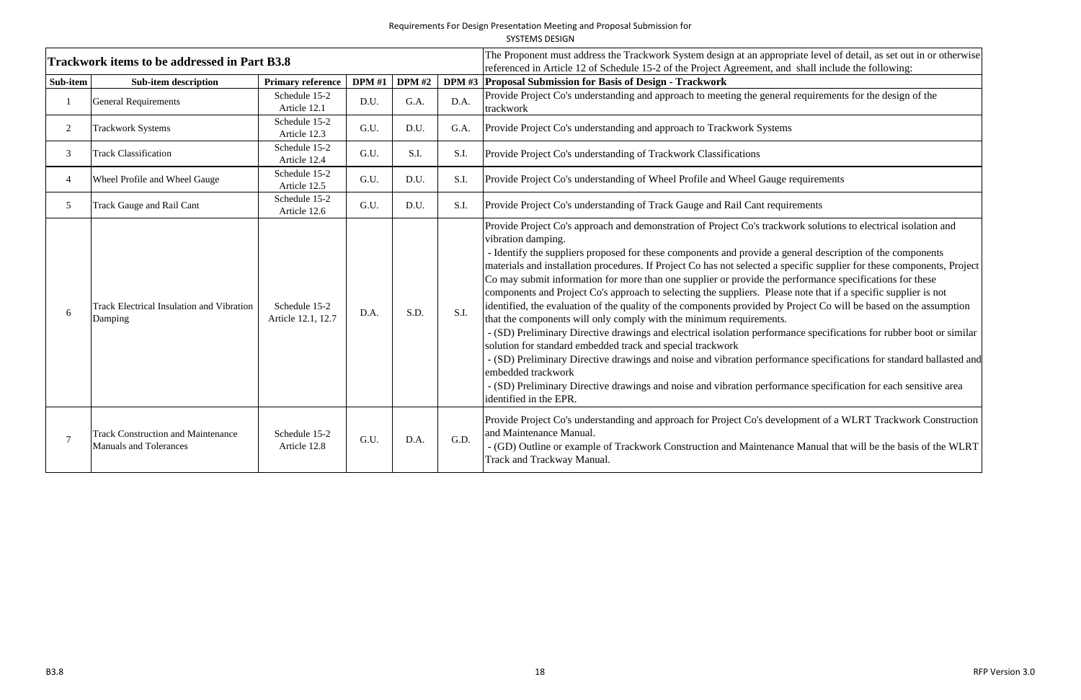|                |                                                                            |                                     |               |               |      | <b>SYSTEMS DESIGN</b>                                                                                                                                                                                                                                                                                                                                                                                                                                                                                                                                                                                                                                                                                                                                                                                                                                                                                                                                                                                                                                                                                                                                                                                                                                                                      |  |  |
|----------------|----------------------------------------------------------------------------|-------------------------------------|---------------|---------------|------|--------------------------------------------------------------------------------------------------------------------------------------------------------------------------------------------------------------------------------------------------------------------------------------------------------------------------------------------------------------------------------------------------------------------------------------------------------------------------------------------------------------------------------------------------------------------------------------------------------------------------------------------------------------------------------------------------------------------------------------------------------------------------------------------------------------------------------------------------------------------------------------------------------------------------------------------------------------------------------------------------------------------------------------------------------------------------------------------------------------------------------------------------------------------------------------------------------------------------------------------------------------------------------------------|--|--|
|                | <b>Trackwork items to be addressed in Part B3.8</b>                        |                                     |               |               |      | The Proponent must address the Trackwork System design at an appropriate level of detail, as set out in or otherwise<br>referenced in Article 12 of Schedule 15-2 of the Project Agreement, and shall include the following:                                                                                                                                                                                                                                                                                                                                                                                                                                                                                                                                                                                                                                                                                                                                                                                                                                                                                                                                                                                                                                                               |  |  |
| Sub-item       | <b>Sub-item description</b>                                                | <b>Primary reference</b>            | <b>DPM</b> #1 | <b>DPM</b> #2 |      | DPM #3 Proposal Submission for Basis of Design - Trackwork                                                                                                                                                                                                                                                                                                                                                                                                                                                                                                                                                                                                                                                                                                                                                                                                                                                                                                                                                                                                                                                                                                                                                                                                                                 |  |  |
|                | <b>General Requirements</b>                                                | Schedule 15-2<br>Article 12.1       | D.U.          | G.A.          | D.A. | Provide Project Co's understanding and approach to meeting the general requirements for the design of the<br>trackwork                                                                                                                                                                                                                                                                                                                                                                                                                                                                                                                                                                                                                                                                                                                                                                                                                                                                                                                                                                                                                                                                                                                                                                     |  |  |
| $\overline{2}$ | <b>Trackwork Systems</b>                                                   | Schedule 15-2<br>Article 12.3       | G.U.          | D.U.          | G.A. | Provide Project Co's understanding and approach to Trackwork Systems                                                                                                                                                                                                                                                                                                                                                                                                                                                                                                                                                                                                                                                                                                                                                                                                                                                                                                                                                                                                                                                                                                                                                                                                                       |  |  |
| $\mathfrak{Z}$ | <b>Track Classification</b>                                                | Schedule 15-2<br>Article 12.4       | G.U.          | S.I.          | S.I. | Provide Project Co's understanding of Trackwork Classifications                                                                                                                                                                                                                                                                                                                                                                                                                                                                                                                                                                                                                                                                                                                                                                                                                                                                                                                                                                                                                                                                                                                                                                                                                            |  |  |
| $\overline{4}$ | Wheel Profile and Wheel Gauge                                              | Schedule 15-2<br>Article 12.5       | G.U.          | D.U.          | S.I. | Provide Project Co's understanding of Wheel Profile and Wheel Gauge requirements                                                                                                                                                                                                                                                                                                                                                                                                                                                                                                                                                                                                                                                                                                                                                                                                                                                                                                                                                                                                                                                                                                                                                                                                           |  |  |
| 5 <sup>5</sup> | <b>Track Gauge and Rail Cant</b>                                           | Schedule 15-2<br>Article 12.6       | G.U.          | D.U.          | S.I. | Provide Project Co's understanding of Track Gauge and Rail Cant requirements                                                                                                                                                                                                                                                                                                                                                                                                                                                                                                                                                                                                                                                                                                                                                                                                                                                                                                                                                                                                                                                                                                                                                                                                               |  |  |
|                | <b>Track Electrical Insulation and Vibration</b><br>Damping                | Schedule 15-2<br>Article 12.1, 12.7 | D.A.          | S.D.          | S.I. | Provide Project Co's approach and demonstration of Project Co's trackwork solutions to electrical isolation and<br>vibration damping.<br>- Identify the suppliers proposed for these components and provide a general description of the components<br>materials and installation procedures. If Project Co has not selected a specific supplier for these components, Project<br>Co may submit information for more than one supplier or provide the performance specifications for these<br>components and Project Co's approach to selecting the suppliers. Please note that if a specific supplier is not<br>identified, the evaluation of the quality of the components provided by Project Co will be based on the assumption<br>that the components will only comply with the minimum requirements.<br>- (SD) Preliminary Directive drawings and electrical isolation performance specifications for rubber boot or similar<br>solution for standard embedded track and special trackwork<br>- (SD) Preliminary Directive drawings and noise and vibration performance specifications for standard ballasted and<br>embedded trackwork<br>- (SD) Preliminary Directive drawings and noise and vibration performance specification for each sensitive area<br>identified in the EPR. |  |  |
|                | <b>Track Construction and Maintenance</b><br><b>Manuals and Tolerances</b> | Schedule 15-2<br>Article 12.8       | G.U.          | D.A.          | G.D. | Provide Project Co's understanding and approach for Project Co's development of a WLRT Trackwork Construction<br>and Maintenance Manual.<br>- (GD) Outline or example of Trackwork Construction and Maintenance Manual that will be the basis of the WLRT<br>Track and Trackway Manual.                                                                                                                                                                                                                                                                                                                                                                                                                                                                                                                                                                                                                                                                                                                                                                                                                                                                                                                                                                                                    |  |  |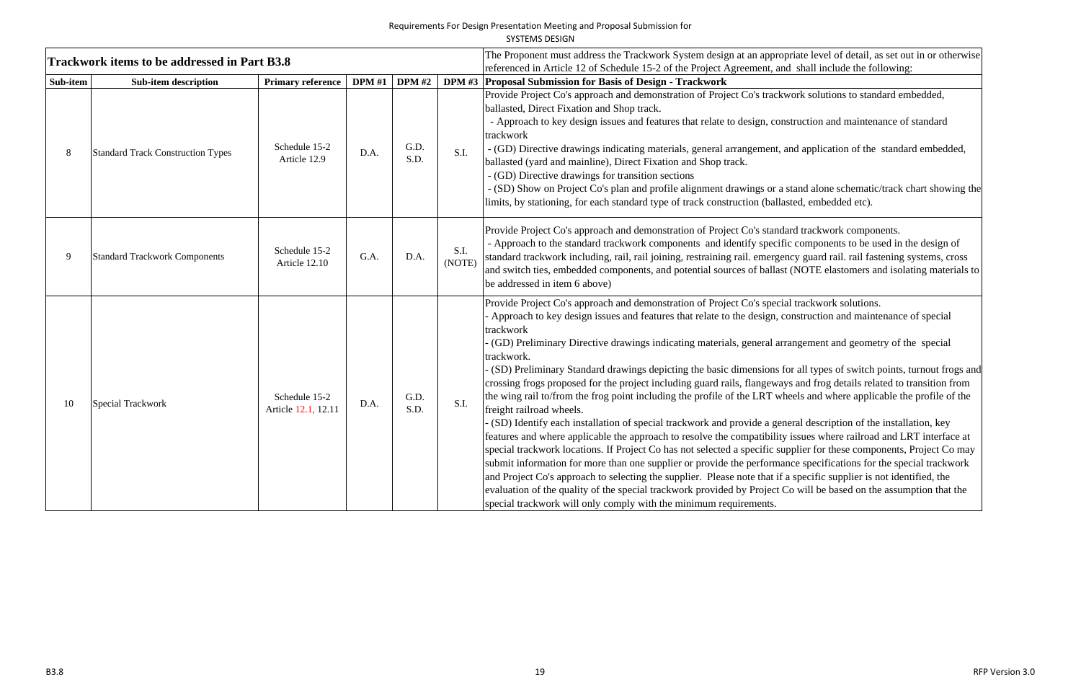| SYSTEMS DESIGN |  |
|----------------|--|
|                |  |

|          | Trackwork items to be addressed in Part B3.8 |                                      |               |              |                | The Proponent must address the Trackwork System design at an appropriate level of detail, as set out in or otherwise                                                                                                                                                                                                                                                                                                                                                                                                                                                                                                                                                                                                                                                                                                                                                                                                                                                                                                                                                                                                                                                                                                                                                                                                                                                                                                                                                                                                                                              |
|----------|----------------------------------------------|--------------------------------------|---------------|--------------|----------------|-------------------------------------------------------------------------------------------------------------------------------------------------------------------------------------------------------------------------------------------------------------------------------------------------------------------------------------------------------------------------------------------------------------------------------------------------------------------------------------------------------------------------------------------------------------------------------------------------------------------------------------------------------------------------------------------------------------------------------------------------------------------------------------------------------------------------------------------------------------------------------------------------------------------------------------------------------------------------------------------------------------------------------------------------------------------------------------------------------------------------------------------------------------------------------------------------------------------------------------------------------------------------------------------------------------------------------------------------------------------------------------------------------------------------------------------------------------------------------------------------------------------------------------------------------------------|
| Sub-item | <b>Sub-item description</b>                  | <b>Primary reference</b>             | <b>DPM</b> #1 | DPM#2        |                | referenced in Article 12 of Schedule 15-2 of the Project Agreement, and shall include the following:<br>DPM #3 Proposal Submission for Basis of Design - Trackwork                                                                                                                                                                                                                                                                                                                                                                                                                                                                                                                                                                                                                                                                                                                                                                                                                                                                                                                                                                                                                                                                                                                                                                                                                                                                                                                                                                                                |
|          | <b>Standard Track Construction Types</b>     | Schedule 15-2<br>Article 12.9        | D.A.          | G.D.<br>S.D. | S.I.           | Provide Project Co's approach and demonstration of Project Co's trackwork solutions to standard embedded,<br>ballasted, Direct Fixation and Shop track.<br>- Approach to key design issues and features that relate to design, construction and maintenance of standard<br>trackwork<br>- (GD) Directive drawings indicating materials, general arrangement, and application of the standard embedded,<br>ballasted (yard and mainline), Direct Fixation and Shop track.<br>- (GD) Directive drawings for transition sections<br>- (SD) Show on Project Co's plan and profile alignment drawings or a stand alone schematic/track chart showing the<br>limits, by stationing, for each standard type of track construction (ballasted, embedded etc).                                                                                                                                                                                                                                                                                                                                                                                                                                                                                                                                                                                                                                                                                                                                                                                                             |
|          | <b>Standard Trackwork Components</b>         | Schedule 15-2<br>Article 12.10       | G.A.          | D.A.         | S.I.<br>(NOTE) | Provide Project Co's approach and demonstration of Project Co's standard trackwork components.<br>- Approach to the standard trackwork components and identify specific components to be used in the design of<br>standard trackwork including, rail, rail joining, restraining rail. emergency guard rail. rail fastening systems, cross<br>and switch ties, embedded components, and potential sources of ballast (NOTE elastomers and isolating materials to<br>be addressed in item 6 above)                                                                                                                                                                                                                                                                                                                                                                                                                                                                                                                                                                                                                                                                                                                                                                                                                                                                                                                                                                                                                                                                  |
| 10       | Special Trackwork                            | Schedule 15-2<br>Article 12.1, 12.11 | D.A.          | G.D.<br>S.D. | S.I.           | Provide Project Co's approach and demonstration of Project Co's special trackwork solutions.<br>Approach to key design issues and features that relate to the design, construction and maintenance of special<br>trackwork<br>(GD) Preliminary Directive drawings indicating materials, general arrangement and geometry of the special<br>trackwork.<br>(SD) Preliminary Standard drawings depicting the basic dimensions for all types of switch points, turnout frogs and<br>crossing frogs proposed for the project including guard rails, flangeways and frog details related to transition from<br>the wing rail to/from the frog point including the profile of the LRT wheels and where applicable the profile of the<br>freight railroad wheels.<br>(SD) Identify each installation of special trackwork and provide a general description of the installation, key<br>features and where applicable the approach to resolve the compatibility issues where railroad and LRT interface at<br>special trackwork locations. If Project Co has not selected a specific supplier for these components, Project Co may<br>submit information for more than one supplier or provide the performance specifications for the special trackwork<br>and Project Co's approach to selecting the supplier. Please note that if a specific supplier is not identified, the<br>evaluation of the quality of the special trackwork provided by Project Co will be based on the assumption that the<br>special trackwork will only comply with the minimum requirements. |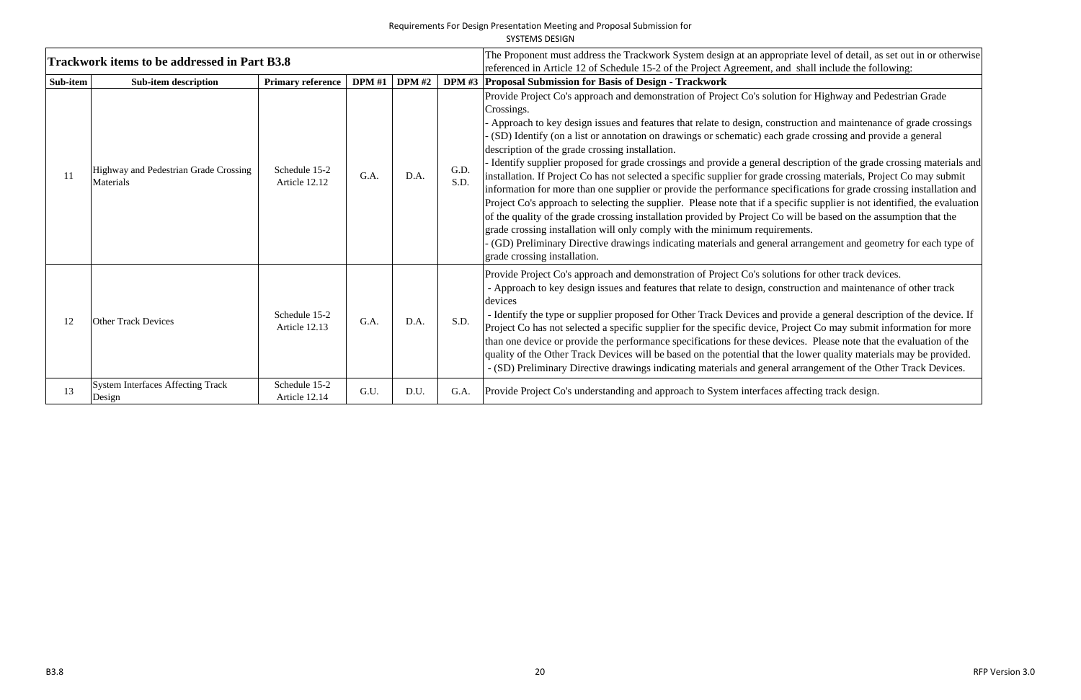|          |                                                     |                                |               |                                                                                                                                                                                               |              | <b>SYSTEMS DESIGN</b>                                                                                                                                                                                                                                                                                                                                                                                                                                                                                                                                                                                                                                                                                                                                                                                                                                                                                                                                                                                                                                                                       |
|----------|-----------------------------------------------------|--------------------------------|---------------|-----------------------------------------------------------------------------------------------------------------------------------------------------------------------------------------------|--------------|---------------------------------------------------------------------------------------------------------------------------------------------------------------------------------------------------------------------------------------------------------------------------------------------------------------------------------------------------------------------------------------------------------------------------------------------------------------------------------------------------------------------------------------------------------------------------------------------------------------------------------------------------------------------------------------------------------------------------------------------------------------------------------------------------------------------------------------------------------------------------------------------------------------------------------------------------------------------------------------------------------------------------------------------------------------------------------------------|
|          | <b>Trackwork items to be addressed in Part B3.8</b> |                                |               | The Proponent must address the Trackwork System design at an appropriate level of detail, a<br>referenced in Article 12 of Schedule 15-2 of the Project Agreement, and shall include the fol- |              |                                                                                                                                                                                                                                                                                                                                                                                                                                                                                                                                                                                                                                                                                                                                                                                                                                                                                                                                                                                                                                                                                             |
| Sub-item | <b>Sub-item description</b>                         | <b>Primary reference</b>       | <b>DPM</b> #1 | <b>DPM</b> #2                                                                                                                                                                                 |              | DPM #3 Proposal Submission for Basis of Design - Trackwork                                                                                                                                                                                                                                                                                                                                                                                                                                                                                                                                                                                                                                                                                                                                                                                                                                                                                                                                                                                                                                  |
| 11       | Highway and Pedestrian Grade Crossing<br>Materials  | Schedule 15-2<br>Article 12.12 | G.A.          | D.A.                                                                                                                                                                                          | G.D.<br>S.D. | Provide Project Co's approach and demonstration of Project Co's solution for Highway and P<br>Crossings.<br>Approach to key design issues and features that relate to design, construction and maintenal<br>(SD) Identify (on a list or annotation on drawings or schematic) each grade crossing and pro<br>description of the grade crossing installation.<br>- Identify supplier proposed for grade crossings and provide a general description of the grad<br>installation. If Project Co has not selected a specific supplier for grade crossing materials, Pro<br>information for more than one supplier or provide the performance specifications for grade c<br>Project Co's approach to selecting the supplier. Please note that if a specific supplier is not io<br>of the quality of the grade crossing installation provided by Project Co will be based on the a<br>grade crossing installation will only comply with the minimum requirements.<br>(GD) Preliminary Directive drawings indicating materials and general arrangement and georgen<br>grade crossing installation. |
| 12       | <b>Other Track Devices</b>                          | Schedule 15-2<br>Article 12.13 | G.A.          | D.A.                                                                                                                                                                                          | S.D.         | Provide Project Co's approach and demonstration of Project Co's solutions for other track dev<br>- Approach to key design issues and features that relate to design, construction and maintena<br>devices<br>- Identify the type or supplier proposed for Other Track Devices and provide a general descretion<br>Project Co has not selected a specific supplier for the specific device, Project Co may submit<br>than one device or provide the performance specifications for these devices. Please note that<br>quality of the Other Track Devices will be based on the potential that the lower quality mater<br>- (SD) Preliminary Directive drawings indicating materials and general arrangement of the O                                                                                                                                                                                                                                                                                                                                                                          |
| 13       | <b>System Interfaces Affecting Track</b><br>Design  | Schedule 15-2<br>Article 12.14 | G.U.          | D.U.                                                                                                                                                                                          | G.A.         | Provide Project Co's understanding and approach to System interfaces affecting track design.                                                                                                                                                                                                                                                                                                                                                                                                                                                                                                                                                                                                                                                                                                                                                                                                                                                                                                                                                                                                |

Trackwork System design at all an appropriate level of detail, as set out in or otherwise referenced in Article 12 of  $\alpha$ 

In for Highway and Pedestrian Grade

ruction and maintenance of grade crossings grade crossing and provide a general

escription of the grade crossing materials and rossing materials, Project Co may submit ifications for grade crossing installation and cific supplier is not identified, the evaluation will be based on the assumption that the

arrangement and geometry for each type of

ons for other track devices. ruction and maintenance of other track

ovide a general description of the device. If Project Co may submit information for more than or provide than the evaluation of the evaluations for the seeds. Please note that the evaluation of the e lower quality materials may be provided. arrangement of the Other Track Devices.